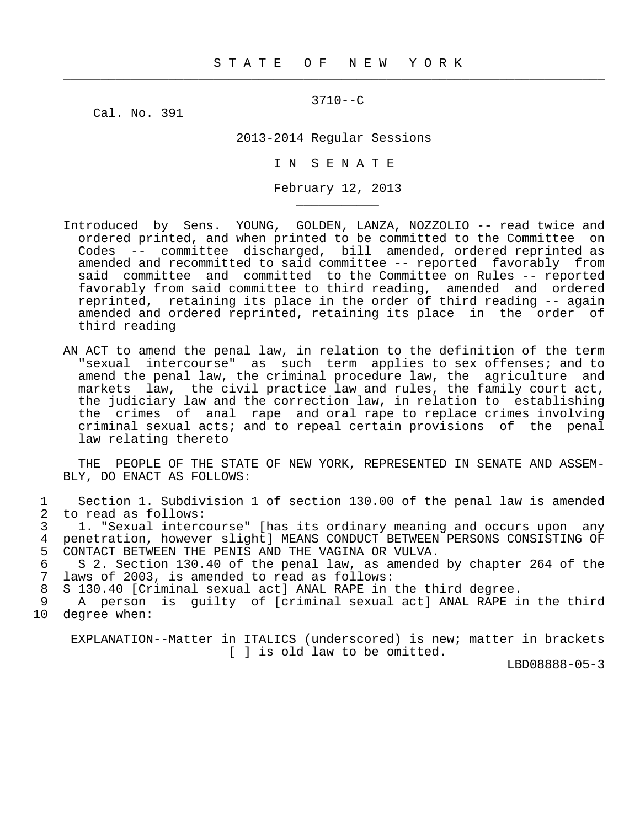$\frac{1}{2}$  , and the contribution of the contribution of the contribution of the contribution of the contribution of the contribution of the contribution of the contribution of the contribution of the contribution of the c

3710--C

Cal. No. 391

\_\_\_\_\_\_\_\_\_\_\_

2013-2014 Regular Sessions

I N S E N A T E

February 12, 2013

- Introduced by Sens. YOUNG, GOLDEN, LANZA, NOZZOLIO -- read twice and ordered printed, and when printed to be committed to the Committee on Codes -- committee discharged, bill amended, ordered reprinted as amended and recommitted to said committee -- reported favorably from said committee and committed to the Committee on Rules -- reported favorably from said committee to third reading, amended and ordered reprinted, retaining its place in the order of third reading -- again amended and ordered reprinted, retaining its place in the order of third reading
- AN ACT to amend the penal law, in relation to the definition of the term "sexual intercourse" as such term applies to sex offenses; and to amend the penal law, the criminal procedure law, the agriculture and markets law, the civil practice law and rules, the family court act, the judiciary law and the correction law, in relation to establishing the crimes of anal rape and oral rape to replace crimes involving criminal sexual acts; and to repeal certain provisions of the penal law relating thereto

 THE PEOPLE OF THE STATE OF NEW YORK, REPRESENTED IN SENATE AND ASSEM- BLY, DO ENACT AS FOLLOWS:

1 Section 1. Subdivision 1 of section 130.00 of the penal law is amended<br>2 to read as follows: 2 to read as follows:<br>3 1. "Sexual interc

3 1. "Sexual intercourse" [has its ordinary meaning and occurs upon any<br>4 penetration, however slight] MEANS CONDUCT BETWEEN PERSONS CONSISTING OF 4 penetration, however slight] MEANS CONDUCT BETWEEN PERSONS CONSISTING OF<br>5 CONTACT BETWEEN THE PENIS AND THE VAGINA OR VULVA. 5 CONTACT BETWEEN THE PENIS AND THE VAGINA OR VULVA.<br>6 S 2. Section 130.40 of the penal law, as amended

6 S 2. Section 130.40 of the penal law, as amended by chapter 264 of the<br>7 laws of 2003, is amended to read as follows: laws of 2003, is amended to read as follows:

8 S 130.40 [Criminal sexual act] ANAL RAPE in the third degree.<br>8 A person is quilty of [criminal sexual act] ANAL RAPE i

9 A person is guilty of [criminal sexual act] ANAL RAPE in the third<br>10 degree when: degree when:

 EXPLANATION--Matter in ITALICS (underscored) is new; matter in brackets [ ] is old law to be omitted.

LBD08888-05-3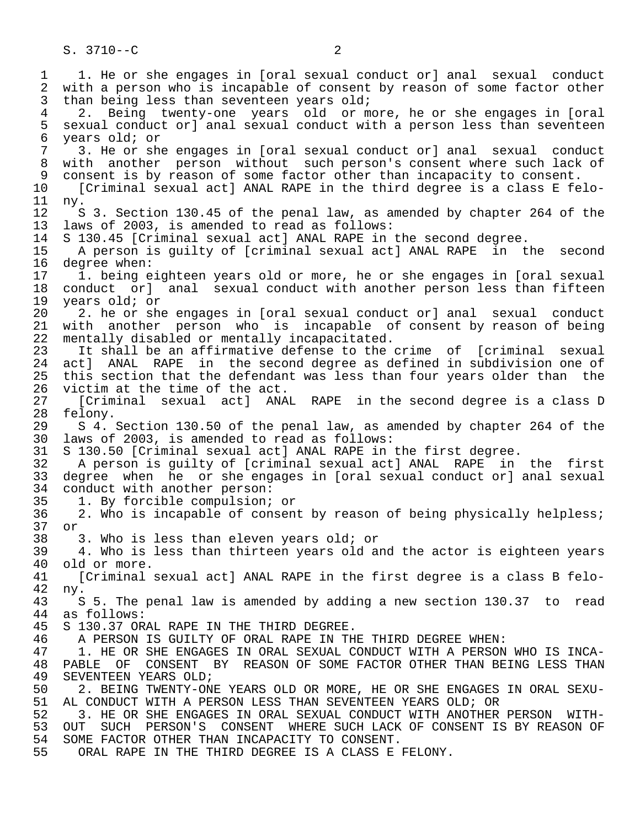S. 3710--C 2

1 1. He or she engages in [oral sexual conduct or] anal sexual conduct<br>2 with a person who is incapable of consent by reason of some factor other 2 with a person who is incapable of consent by reason of some factor other<br>3 than being less than seventeen vears old; than being less than seventeen years  $old$ ; 4 2. Being twenty-one years old or more, he or she engages in [oral 5 sexual conduct or] anal sexual conduct with a person less than seventeen<br>6 vears old; or 6 years old; or<br>7 3. He or she 7 3. He or she engages in [oral sexual conduct or] anal sexual conduct 8 with another person without such person's consent where such lack of<br>9 consent is by reason of some factor other than incapacity to consent. 9 consent is by reason of some factor other than incapacity to consent.<br>10 [Criminal sexual act] ANAL RAPE in the third degree is a class E fe 10 [Criminal sexual act] ANAL RAPE in the third degree is a class E felo-<br>11 ny. 11 ny. 12 S 3. Section 130.45 of the penal law, as amended by chapter 264 of the 13 laws of 2003, is amended to read as follows: 13 laws of 2003, is amended to read as follows:<br>14 S 130.45 [Criminal sexual act] ANAL RAPE in 14 S 130.45 [Criminal sexual act] ANAL RAPE in the second degree.<br>15 A person is quilty of [criminal sexual act] ANAL RAPE in t 15 A person is guilty of [criminal sexual act] ANAL RAPE in the second<br>16 degree when: 16 degree when:<br>17 1. being e 17 1. being eighteen years old or more, he or she engages in [oral sexual<br>18 conduct or] anal sexual conduct with another person less than fifteen 18 conduct or] anal sexual conduct with another person less than fifteen<br>19 years old; or 19 years old; or<br>20 2. he or she 20 2. he or she engages in [oral sexual conduct or] anal sexual conduct<br>21 with another person who is incapable of consent by reason of being 21 with another person who is incapable of consent by reason of being<br>22 mentally disabled or mentally incapacitated. 22 mentally disabled or mentally incapacitated.<br>23 It shall be an affirmative defense to the 23 It shall be an affirmative defense to the crime of [criminal sexual<br>24 actl ANAL RAPE in the second degree as defined in subdivision one of 24 act] ANAL RAPE in the second degree as defined in subdivision one of<br>25 this section that the defendant was less than four years older than the this section that the defendant was less than four years older than the 26 victim at the time of the act.<br>27 [Criminal sexual act] ANA 27 [Criminal sexual act] ANAL RAPE in the second degree is a class D<br>28 felony. 28 felony.<br>29 S 4. 29 S 4. Section 130.50 of the penal law, as amended by chapter 264 of the 30 laws of 2003, is amended to read as follows: 30 laws of 2003, is amended to read as follows: 31 S 130.50 [Criminal sexual act] ANAL RAPE in the first degree. 32 A person is guilty of [criminal sexual act] ANAL RAPE in the first 33 degree when he or she engages in [oral sexual conduct or] anal sexual 34 conduct with another person:<br>35 1. By forcible compulsion; 35 1. By forcible compulsion; or<br>36 2. Who is incapable of consen 2. Who is incapable of consent by reason of being physically helpless; 37 or 38 3. Who is less than eleven years old; or<br>39 4. Who is less than thirteen years old a 39 4. Who is less than thirteen years old and the actor is eighteen years 40 old or more.<br>41 [Criminal] 41 [Criminal sexual act] ANAL RAPE in the first degree is a class B felo-<br>42 ny. 42 ny. 43 S 5. The penal law is amended by adding a new section 130.37 to read<br>44 as follows: 44 as follows:<br>45 S 130.37 OR 45 S 130.37 ORAL RAPE IN THE THIRD DEGREE. 46 A PERSON IS GUILTY OF ORAL RAPE IN THE THIRD DEGREE WHEN:<br>47 1. HE OR SHE ENGAGES IN ORAL SEXUAL CONDUCT WITH A PERSON 47 1. HE OR SHE ENGAGES IN ORAL SEXUAL CONDUCT WITH A PERSON WHO IS INCA-<br>48 PABLE OF CONSENT BY REASON OF SOME FACTOR OTHER THAN BEING LESS THAN 48 PABLE OF CONSENT BY REASON OF SOME FACTOR OTHER THAN BEING LESS THAN 49 SEVENTEEN YEARS OLD; 49 SEVENTEEN YEARS OLD;<br>50 2. BEING TWENTY-ON 50 2. BEING TWENTY-ONE YEARS OLD OR MORE, HE OR SHE ENGAGES IN ORAL SEXU-<br>51 AL CONDUCT WITH A PERSON LESS THAN SEVENTEEN YEARS OLD; OR 51 AL CONDUCT WITH A PERSON LESS THAN SEVENTEEN YEARS OLD; OR<br>52 3. HE OR SHE ENGAGES IN ORAL SEXUAL CONDUCT WITH ANOTHER 52 3. HE OR SHE ENGAGES IN ORAL SEXUAL CONDUCT WITH ANOTHER PERSON WITH-<br>53 OUT SUCH PERSON'S CONSENT WHERE SUCH LACK OF CONSENT IS BY REASON OF 53 OUT SUCH PERSON'S CONSENT WHERE SUCH LACK OF CONSENT IS BY REASON OF 54 SOME FACTOR OTHER THAN INCAPACITY TO CONSENT. 54 SOME FACTOR OTHER THAN INCAPACITY TO CONSENT.<br>55 ORAL RAPE IN THE THIRD DEGREE IS A CLASS E ORAL RAPE IN THE THIRD DEGREE IS A CLASS E FELONY.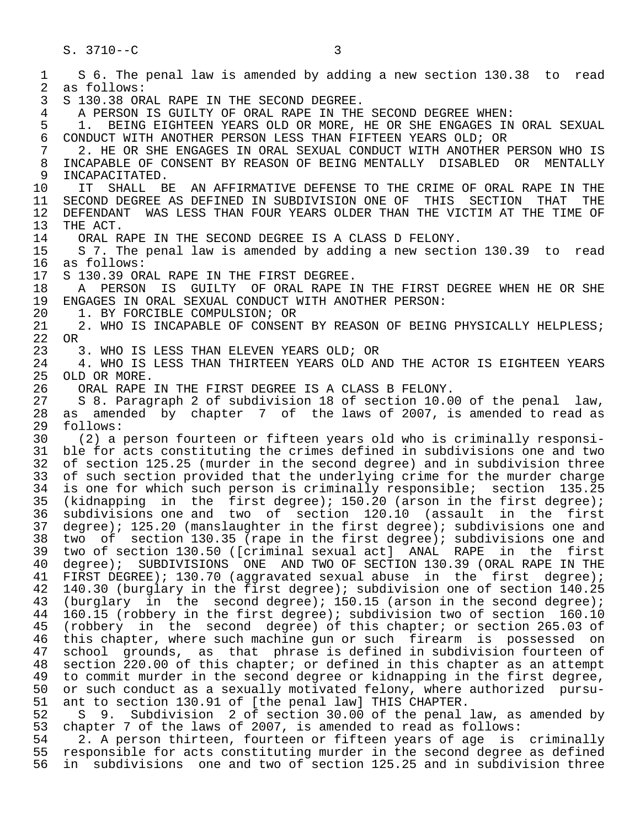1 S 6. The penal law is amended by adding a new section 130.38 to read<br>2 as follows: 2 as follows:<br>3 S 130.38 OR 3 S 130.38 ORAL RAPE IN THE SECOND DEGREE.<br>4 A PERSON IS GUILTY OF ORAL RAPE IN THE 4 A PERSON IS GUILTY OF ORAL RAPE IN THE SECOND DEGREE WHEN:<br>5 1. BEING EIGHTEEN YEARS OLD OR MORE, HE OR SHE ENGAGES IN 5 1. BEING EIGHTEEN YEARS OLD OR MORE, HE OR SHE ENGAGES IN ORAL SEXUAL<br>6 CONDUCT WITH ANOTHER PERSON LESS THAN FIFTEEN YEARS OLD; OR 6 CONDUCT WITH ANOTHER PERSON LESS THAN FIFTEEN YEARS OLD; OR<br>7 3. HE OR SHE ENGAGES IN ORAL SEXUAL CONDUCT WITH ANOTHER 7 2. HE OR SHE ENGAGES IN ORAL SEXUAL CONDUCT WITH ANOTHER PERSON WHO IS<br>8 INCAPABLE OF CONSENT BY REASON OF BEING MENTALLY DISABLED OR MENTALLY 8 INCAPABLE OF CONSENT BY REASON OF BEING MENTALLY DISABLED OR MENTALLY<br>9 INCAPACITATED. 9 INCAPACITATED.<br>10 IT SHALL BE 10 IT SHALL BE AN AFFIRMATIVE DEFENSE TO THE CRIME OF ORAL RAPE IN THE 11 SECOND DEGREE AS DEFINED IN SUBDIVISION ONE OF THIS SECTION THAT THE 11 SECOND DEGREE AS DEFINED IN SUBDIVISION ONE OF THIS SECTION THAT THE TIME OF 12 DEFENDANT WAS LESS THAN FOUR YEARS OLDER THAN THE VICTIM AT THE TIME OF 13 THE ACT. 13 THE ACT.<br>14 ORAL R 14 ORAL RAPE IN THE SECOND DEGREE IS A CLASS D FELONY.<br>15 S 7. The penal law is amended by adding a new secti 15 S 7. The penal law is amended by adding a new section 130.39 to read 16 as follows:<br>17 S 130.39 OR 17 S 130.39 ORAL RAPE IN THE FIRST DEGREE.<br>18 A PERSON IS GUILTY OF ORAL RAPE I 18 A PERSON IS GUILTY OF ORAL RAPE IN THE FIRST DEGREE WHEN HE OR SHE 19 ENGAGES IN ORAL SEXUAL CONDUCT WITH ANOTHER PERSON: 19 ENGAGES IN ORAL SEXUAL CONDUCT WITH ANOTHER PERSON:<br>20 1. BY FORCIBLE COMPULSION; OR 20 1. BY FORCIBLE COMPULSION; OR<br>21 2. WHO IS INCAPABLE OF CONSEN' 2. WHO IS INCAPABLE OF CONSENT BY REASON OF BEING PHYSICALLY HELPLESS; 22 OR<br>23 23 3. WHO IS LESS THAN ELEVEN YEARS OLD; OR<br>24 4. WHO IS LESS THAN THIRTEEN YEARS OLD AL 24 4. WHO IS LESS THAN THIRTEEN YEARS OLD AND THE ACTOR IS EIGHTEEN YEARS 25 OLD OR MORE. OLD OR MORE. 26 ORAL RAPE IN THE FIRST DEGREE IS A CLASS B FELONY.<br>27 S 8. Paragraph 2 of subdivision 18 of section 10.0 27 S 8. Paragraph 2 of subdivision 18 of section 10.00 of the penal law, 28 as amended by chapter 7 of the laws of 2007, is amended to read as  $29$  follows:<br>30 (2) a 30 (2) a person fourteen or fifteen years old who is criminally responsi- 31 ble for acts constituting the crimes defined in subdivisions one and two<br>32 of section 125.25 (murder in the second degree) and in subdivision three 32 of section 125.25 (murder in the second degree) and in subdivision three<br>33 of such section provided that the underlying crime for the murder charge 33 of such section provided that the underlying crime for the murder charge<br>34 is one for which such person is criminally responsible; section 135.25 34 is one for which such person is criminally responsible; section 135.25<br>35 (kidnapping in the first degree); 150.20 (arson in the first degree); 35 (kidnapping in the first degree); 150.20 (arson in the first degree);<br>36 subdivisions one and two of section 120.10 (assault in the first subdivisions one and two of section 120.10 (assault in the first 37 degree); 125.20 (manslaughter in the first degree); subdivisions one and<br>38 two of section 130.35 (rape in the first degree); subdivisions one and 38 two of section 130.35 (rape in the first degree); subdivisions one and 39 two of section 130.50 ([criminal sexual act] ANAL RAPE in the first 40 degree); SUBDIVISIONS ONE AND TWO OF SECTION 130.39 (ORAL RAPE IN THE 41 FIRST DEGREE); 130.70 (aggravated sexual abuse in the first degree); 41 FIRST DEGREE); 130.70 (aggravated sexual abuse in the first degree);<br>42 140.30 (burglary in the first degree); subdivision one of section 140.25 42 140.30 (burglary in the first degree); subdivision one of section 140.25<br>43 (burglary in the second degree); 150.15 (arson in the second degree); 43 (burglary in the second degree); 150.15 (arson in the second degree);<br>44 160.15 (robbery in the first degree); subdivision two of section 160.10 44 160.15 (robbery in the first degree); subdivision two of section 160.10<br>45 (robbery in the second degree) of this chapter; or section 265.03 of (robbery in the second degree) of this chapter; or section 265.03 of 46 this chapter, where such machine gun or such firearm is possessed on<br>47 school grounds, as that phrase is defined in subdivision fourteen of school grounds, as that phrase is defined in subdivision fourteen of 48 section 220.00 of this chapter; or defined in this chapter as an attempt<br>49 to commit murder in the second degree or kidnapping in the first degree, 49 to commit murder in the second degree or kidnapping in the first degree,<br>50 or such conduct as a sexually motivated felony, where authorized pursu-50 or such conduct as a sexually motivated felony, where authorized pursu-<br>51 ant to section 130.91 of [the penal law] THIS CHAPTER. 51 ant to section 130.91 of [the penal law] THIS CHAPTER.<br>52 S. 9. Subdivision 2 of section 30.00 of the penal 52 S 9. Subdivision 2 of section 30.00 of the penal law, as amended by<br>53 chapter 7 of the laws of 2007, is amended to read as follows: 53 chapter 7 of the laws of 2007, is amended to read as follows:<br>54 2. A person thirteen, fourteen or fifteen years of age is 54 2. A person thirteen, fourteen or fifteen years of age is criminally<br>55 responsible for acts constituting murder in the second degree as defined 55 responsible for acts constituting murder in the second degree as defined<br>56 in subdivisions, one and two of section 125.25 and in subdivision three in subdivisions one and two of section 125.25 and in subdivision three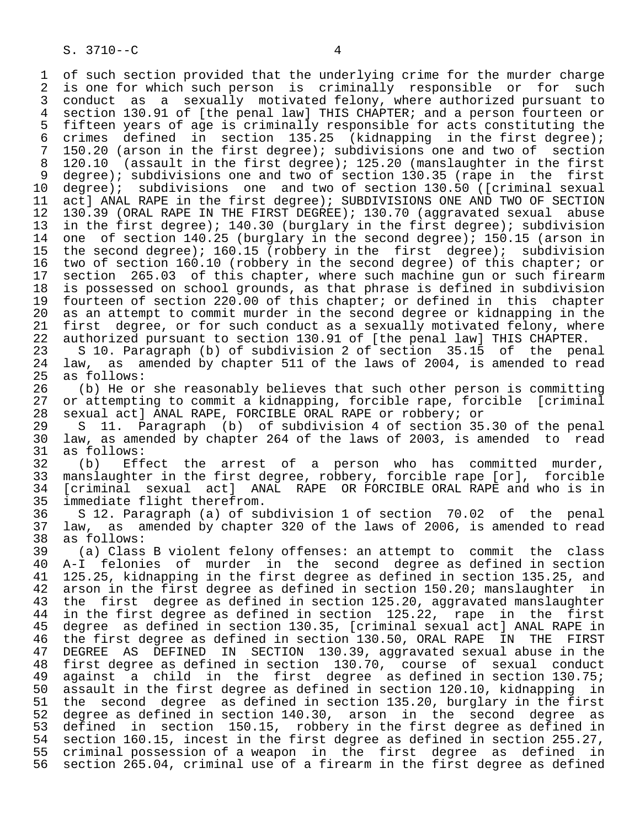1 of such section provided that the underlying crime for the murder charge<br>2 is one for which such person is criminally responsible or for such 2 is one for which such person is criminally responsible or for such<br>3 conduct as a sexually motivated felony, where authorized pursuant to 3 conduct as a sexually motivated felony, where authorized pursuant to<br>4 section 130.91 of [the penal law] THIS CHAPTER; and a person fourteen or 4 section 130.91 of [the penal law] THIS CHAPTER; and a person fourteen or<br>5 fifteen years of age is criminally responsible for acts constituting the 5 fifteen years of age is criminally responsible for acts constituting the<br>6 crimes defined in section 135.25 (kidnapping in the first degree); 6 crimes defined in section  $135.25$  (kidnapping in the first degree);<br>7 150.20 (arson in the first degree); subdivisions one and two of section 7 150.20 (arson in the first degree); subdivisions one and two of section<br>8 120.10 (assault in the first degree); 125.20 (manslaughter in the first 8 120.10 (assault in the first degree); 125.20 (manslaughter in the first<br>9 degree); subdivisions one and two of section 130.35 (rape in the first 9 degree); subdivisions one and two of section 130.35 (rape in the first<br>10 degree); subdivisions one and two of section 130.50 ([criminal sexual 10 degree); subdivisions one and two of section 130.50 ([criminal sexual<br>11 act] ANAL RAPE in the first degree); SUBDIVISIONS ONE AND TWO OF SECTION 11 act] ANAL RAPE in the first degree); SUBDIVISIONS ONE AND TWO OF SECTION<br>12 130.39 (ORAL RAPE IN THE FIRST DEGREE); 130.70 (aqqravated sexual abuse 12 130.39 (ORAL RAPE IN THE FIRST DEGREE); 130.70 (aggravated sexual abuse<br>13 in the first degree); 140.30 (burglary in the first degree); subdivision 13 in the first degree); 140.30 (burglary in the first degree); subdivision<br>14 one of section 140.25 (burglary in the second degree); 150.15 (arson in one of section 140.25 (burglary in the second degree); 150.15 (arson in 15 the second degree); 160.15 (robbery in the first degree); subdivision<br>16 two of section 160.10 (robbery in the second degree) of this chapter; or 16 two of section 160.10 (robbery in the second degree) of this chapter; or<br>17 section 265.03 of this chapter, where such machine qun or such firearm 17 section 265.03 of this chapter, where such machine gun or such firearm<br>18 is possessed on school grounds, as that phrase is defined in subdivision 18 is possessed on school grounds, as that phrase is defined in subdivision<br>19 fourteen of section 220.00 of this chapter; or defined in this chapter 19 fourteen of section 220.00 of this chapter; or defined in this chapter<br>20 as an attempt to commit murder in the second degree or kidnapping in the 20 as an attempt to commit murder in the second degree or kidnapping in the<br>21 first degree, or for such conduct as a sexually motivated felony, where 21 first degree, or for such conduct as a sexually motivated felony, where<br>22 authorized pursuant to section 130.91 of [the penal law] THIS CHAPTER.

22 authorized pursuant to section 130.91 of [the penal law] THIS CHAPTER.<br>23 S 10. Paragraph (b) of subdivision 2 of section 35.15 of the penal 23 S 10. Paragraph (b) of subdivision 2 of section 35.15 of<br>24 law, as amended by chapter 511 of the laws of 2004, is amen 24 law, as amended by chapter 511 of the laws of 2004, is amended to read 25 as follows: as follows:

26 (b) He or she reasonably believes that such other person is committing<br>27 or attempting to commit a kidnapping, forcible rape, forcible [criminal 27 or attempting to commit a kidnapping, forcible rape, forcible [criminal<br>28 sexual act] ANAL RAPE, FORCIBLE ORAL RAPE or robbery; or 28 sexual act] ANAL RAPE, FORCIBLE ORAL RAPE or robbery; or

29 S 11. Paragraph (b) of subdivision 4 of section 35.30 of the penal<br>30 law, as amended by chapter 264 of the laws of 2003, is amended to read 30 law, as amended by chapter 264 of the laws of 2003, is amended to read 31 as follows:<br>32 (b) Eff

32 (b) Effect the arrest of a person who has committed murder,<br>33 manslaughter in the first degree, robbery, forcible rape [or], forcible 33 manslaughter in the first degree, robbery, forcible rape [or], forcible<br>34 [criminal sexual act] ANAL RAPE OR FORCIBLE ORAL RAPE and who is in 34 [criminal sexual act] ANAL RAPE OR FORCIBLE ORAL RAPE and who is in<br>35 immediate flight therefrom. 35 immediate flight therefrom.<br>36 S 12. Paragraph (a) of su

 36 S 12. Paragraph (a) of subdivision 1 of section 70.02 of the penal 37 law, as amended by chapter 320 of the laws of 2006, is amended to read 38 as follows:<br>39 (a) Class

 39 (a) Class B violent felony offenses: an attempt to commit the class 40 A-I felonies of murder in the second degree as defined in section<br>41 125.25, kidnapping in the first degree as defined in section 135.25, and 41 125.25, kidnapping in the first degree as defined in section 135.25, and<br>42 arson in the first degree as defined in section 150.20; manslaughter in 42 arson in the first degree as defined in section 150.20; manslaughter in<br>43 the first degree as defined in section 125.20, aggravated manslaughter 43 the first degree as defined in section 125.20, aggravated manslaughter<br>44 in the first degree as defined in section 125.22, rape in the first 44 in the first degree as defined in section 125.22, rape in the first<br>45 degree as defined in section 130.35, [criminal sexual act] ANAL RAPE in degree as defined in section 130.35, [criminal sexual act] ANAL RAPE in 46 the first degree as defined in section 130.50, ORAL RAPE IN THE FIRST<br>47 DEGREE AS DEFINED IN SECTION 130.39, aggravated sexual abuse in the 47 DEGREE AS DEFINED IN SECTION 130.39, aggravated sexual abuse in the 48 first degree as defined in section 130.70, course of sexual conduct<br>49 against a child in the first degree as defined in section 130.75; 49 against a child in the first degree as defined in section 130.75; 50 assault in the first degree as defined in section 120.10, kidnapping in 51 the second degree as defined in section 135.20, burglary in the first<br>52 degree as defined in section 140.30, arson in the second degree as 52 degree as defined in section 140.30, arson in the second degree as<br>53 defined in section 150.15, robbery in the first degree as defined in 53 defined in section 150.15, robbery in the first degree as defined in<br>54 section 160.15, incest in the first degree as defined in section 255.27, 54 section 160.15, incest in the first degree as defined in section 255.27,<br>55 criminal possession of a weapon in the first degree as defined in 55 criminal possession of a weapon in the first degree as defined in<br>56 section 265.04, criminal use of a firearm in the first degree as defined section 265.04, criminal use of a firearm in the first degree as defined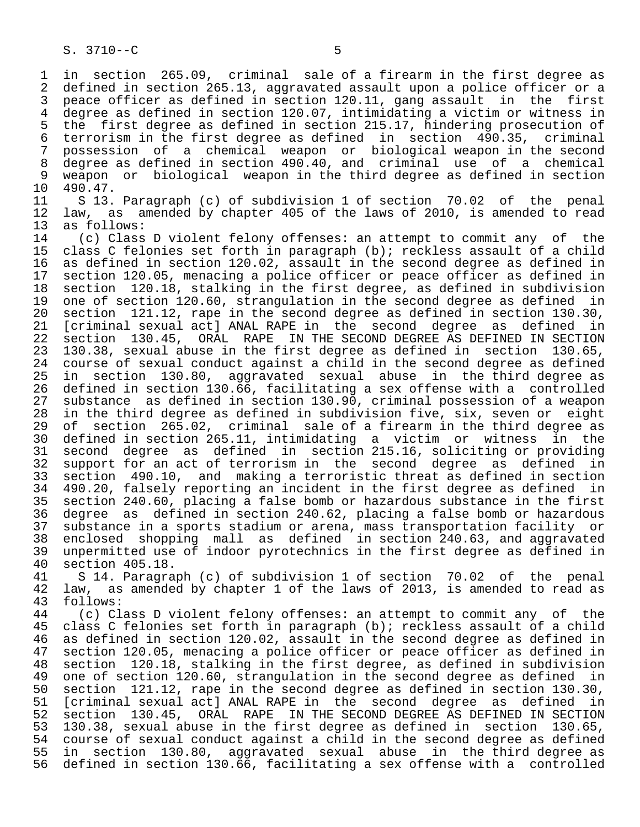1 in section 265.09, criminal sale of a firearm in the first degree as 2 defined in section 265.13, aggravated assault upon a police officer or a<br>3 peace officer as defined in section 120.11, gang assault in the first 3 peace officer as defined in section 120.11, gang assault in the first 4 degree as defined in section 120.07, intimidating a victim or witness in<br>5 the first degree as defined in section 215.17, hindering prosecution of 5 the first degree as defined in section 215.17, hindering prosecution of<br>6 terrorism in the first degree as defined in section 490.35, criminal 6 terrorism in the first degree as defined in section 490.35,<br>7 possession of a chemical weapon or biological weapon in th 7 possession of a chemical weapon or biological weapon in the second 8 degree as defined in section 490.40, and criminal use of a chemical 9 weapon or biological weapon in the third degree as defined in section<br>10 490.47.

10 490.47.<br>11 S 13. 11 S 13. Paragraph (c) of subdivision 1 of section 70.02 of the penal<br>12 law, as amended by chapter 405 of the laws of 2010, is amended to read 12 law, as amended by chapter 405 of the laws of 2010, is amended to read 13 as follows:

13 as follows:<br>14 (c) Class 14 (c) Class D violent felony offenses: an attempt to commit any of the<br>15 class C felonies set forth in paragraph (b); reckless assault of a child 15 class C felonies set forth in paragraph (b); reckless assault of a child<br>16 as defined in section 120.02, assault in the second degree as defined in 16 as defined in section 120.02, assault in the second degree as defined in<br>17 section 120.05, menacing a police officer or peace officer as defined in 17 section 120.05, menacing a police officer or peace officer as defined in<br>18 section 120.18, stalking in the first degree, as defined in subdivision 18 section 120.18, stalking in the first degree, as defined in subdivision<br>19 one of section 120.60, strangulation in the second degree as defined in 19 one of section 120.60, strangulation in the second degree as defined in<br>20 section 121.12, rape in the second degree as defined in section 130.30, 20 section 121.12, rape in the second degree as defined in section 130.30,<br>21 [criminal sexual act] ANAL RAPE in the second degree as defined in 21 [criminal sexual act] ANAL RAPE in the second degree as defined in<br>22 section 130.45, ORAL RAPE IN THE SECOND DEGREE AS DEFINED IN SECTION 22 section 130.45, ORAL RAPE IN THE SECOND DEGREE AS DEFINED IN SECTION<br>23 130.38, sexual abuse in the first degree as defined in section 130.65, 23 130.38, sexual abuse in the first degree as defined in section<br>24 course of sexual conduct against a child in the second degree as 24 course of sexual conduct against a child in the second degree as defined<br>25 in section 130.80, aggravated sexual abuse in the third degree as section 130.80, aggravated sexual abuse in the third degree as 26 defined in section 130.66, facilitating a sex offense with a controlled<br>27 substance as defined in section 130.90, criminal possession of a weapon 27 substance as defined in section 130.90, criminal possession of a weapon<br>28 in the third degree as defined in subdivision five, six, seven or eight 28 in the third degree as defined in subdivision five, six, seven or eight<br>29 of section 265.02, criminal sale of a firearm in the third degree as 29 of section 265.02, criminal sale of a firearm in the third degree as<br>30 defined in section 265.11, intimidating a victim or witness in the 30 defined in section 265.11, intimidating a victim or witness in the 31 second degree as defined in section 215.16, soliciting or providing<br>32 support for an act of terrorism in the second degree as defined in 32 support for an act of terrorism in the second degree as defined in<br>33 section 490.10, and making a terroristic threat as defined in section 33 section 490.10, and making a terroristic threat as defined in section 34 490.20, falsely reporting an incident in the first degree as defined in<br>35 section 240.60, placing a false bomb or hazardous substance in the first 35 section 240.60, placing a false bomb or hazardous substance in the first degree as defined in section 240.62, placing a false bomb or hazardous 37 substance in a sports stadium or arena, mass transportation facility or 38 enclosed shopping mall as defined in section 240.63, and aggravated 39 unpermitted use of indoor pyrotechnics in the first degree as defined in

40 section 405.18.<br>41 S 14. Paragra 41 S 14. Paragraph (c) of subdivision 1 of section 70.02 of the penal<br>42 law, as amended by chapter 1 of the laws of 2013, is amended to read as 42 law, as amended by chapter 1 of the laws of 2013, is amended to read as 43 follows: 43 follows:<br>44 (c) Cl

44 (c) Class D violent felony offenses: an attempt to commit any of the<br>45 class C felonies set forth in paragraph (b); reckless assault of a child class C felonies set forth in paragraph (b); reckless assault of a child 46 as defined in section 120.02, assault in the second degree as defined in<br>47 section 120.05, menacing a police officer or peace officer as defined in 47 section 120.05, menacing a police officer or peace officer as defined in<br>48 section 120.18, stalking in the first degree, as defined in subdivision 48 section 120.18, stalking in the first degree, as defined in subdivision 49 one of section 120.60, strangulation in the second degree as defined in 40.30. 50 section 121.12, rape in the second degree as defined in section 130.30,<br>51 [criminal sexual act] ANAL RAPE in the second degree as defined in 51 [criminal sexual act] ANAL RAPE in the second degree as defined in<br>52 section 130.45, ORAL RAPE IN THE SECOND DEGREE AS DEFINED IN SECTION 52 section 130.45, ORAL RAPE IN THE SECOND DEGREE AS DEFINED IN SECTION<br>53 130.38, sexual abuse in the first degree as defined in section 130.65, 53 130.38, sexual abuse in the first degree as defined in section 130.65, 54 course of sexual conduct against a child in the second degree as defined<br>55 in section 130.80, aggravated sexual abuse in the third degree as 55 in section 130.80, aggravated sexual abuse in the third degree as 56 defined in section 130.66, facilitating a sex offense with a controlled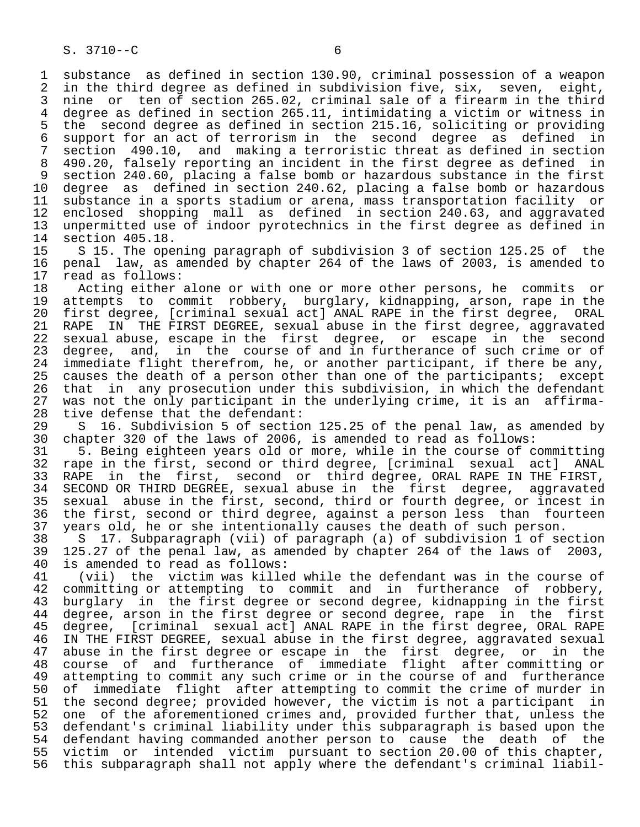1 substance as defined in section 130.90, criminal possession of a weapon<br>2 in the third degree as defined in subdivision five, six, seven, eight, 2 in the third degree as defined in subdivision five, six, seven, eight,<br>3 nine, or, ten of section 265.02, criminal sale of a firearm in the third 3 nine or ten of section 265.02, criminal sale of a firearm in the third<br>4 degree as defined in section 265.11, intimidating a victim or witness in 4 degree as defined in section 265.11, intimidating a victim or witness in<br>5 the second degree as defined in section 215.16, soliciting or providing 5 the second degree as defined in section 215.16, soliciting or providing<br>6 support for an act of terrorism in the second degree as defined in 6 support for an act of terrorism in the second degree as defined in<br>7 section 490.10, and making a terroristic threat as defined in section 7 section 490.10, and making a terroristic threat as defined in section<br>8 490.20, falsely reporting an incident in the first degree as defined in 8 490.20, falsely reporting an incident in the first degree as defined in<br>9 section 240.60, placing a false bomb or hazardous substance in the first 9 section 240.60, placing a false bomb or hazardous substance in the first<br>10 degree as defined in section 240.62, placing a false bomb or hazardous 10 degree as defined in section 240.62, placing a false bomb or hazardous<br>11 substance in a sports stadium or arena, mass transportation facility or 11 substance in a sports stadium or arena, mass transportation facility or<br>12 enclosed shopping mall as defined in section 240.63, and aggravated 12 enclosed shopping mall as defined in section 240.63, and aggravated<br>13 unpermitted use of indoor pyrotechnics in the first degree as defined in 13 unpermitted use of indoor pyrotechnics in the first degree as defined in<br>14 section 405.18. 14 section 405.18.<br>15 S 15. The ope

15 S 15. The opening paragraph of subdivision 3 of section 125.25 of the<br>16 penal law, as amended by chapter 264 of the laws of 2003, is amended to 16 penal law, as amended by chapter 264 of the laws of 2003, is amended to 17 read as follows: 17 read as follows:<br>18 Acting either

18 Acting either alone or with one or more other persons, he commits or<br>19 attempts to commit robbery, burglary, kidnapping, arson, rape in the 19 attempts to commit robbery, burglary, kidnapping, arson, rape in the<br>20 first degree, [criminal sexual act] ANAL RAPE in the first degree, ORAL 20 first degree, [criminal sexual act] ANAL RAPE in the first degree, ORAL<br>21 RAPE IN THE FIRST DEGREE, sexual abuse in the first degree, aggravated 21 RAPE IN THE FIRST DEGREE, sexual abuse in the first degree, aggravated<br>22 sexual abuse, escape in the first degree, or escape in the second 22 sexual abuse, escape in the first degree, or escape in the second<br>23 degree, and, in the course of and in furtherance of such crime or of 23 degree, and, in the course of and in furtherance of such crime or of<br>24 immediate flight therefrom, he, or another participant, if there be any, 24 immediate flight therefrom, he, or another participant, if there be any,<br>25 causes the death of a person other than one of the participants; except causes the death of a person other than one of the participants; except<br>that in any prosecution under this subdivision, in which the defendant 26 that in any prosecution under this subdivision, in which the defendant<br>27 was not the only participant in the underlying crime, it is an affirma-27 was not the only participant in the underlying crime, it is an affirma-<br>28 tive defense that the defendant: 28 tive defense that the defendant:<br>29 S 16. Subdivision 5 of sectio

29 S 16. Subdivision 5 of section 125.25 of the penal law, as amended by<br>30 chapter 320 of the laws of 2006, is amended to read as follows: 30 chapter 320 of the laws of 2006, is amended to read as follows:<br>31 5. Being eighteen years old or more, while in the course of c

31 5. Being eighteen years old or more, while in the course of committing<br>32 rape in the first, second or third degree, [criminal sexual act] ANAL 32 rape in the first, second or third degree, [criminal sexual act] ANAL<br>33 RAPE in the first, second or third degree, ORAL RAPE IN THE FIRST, 33 RAPE in the first, second or third-degree, ORAL RAPE IN THE FIRST,<br>34 SECOND OR THIRD DEGREE, sexual abuse in the first degree, aggravated 34 SECOND OR THIRD DEGREE, sexual abuse in the first degree, aggravated<br>35 sexual abuse in the first, second, third or fourth degree, or incest in 35 sexual abuse in the first, second, third or fourth degree, or incest in<br>36 the first, second or third degree, against a person less than fourteen the first, second or third degree, against a person less than fourteen 37 years old, he or she intentionally causes the death of such person.<br>38 S 17. Subparagraph (vii) of paragraph (a) of subdivision 1 of se

 38 S 17. Subparagraph (vii) of paragraph (a) of subdivision 1 of section 39 125.27 of the penal law, as amended by chapter 264 of the laws of 2003,<br>40 is amended to read as follows: 40 is amended to read as follows:<br>41 (vii) the victim was kille

41 (vii) the victim was killed while the defendant was in the course of<br>42 committing or attempting to commit and in furtherance of robbery, 42 committing or attempting to commit and in furtherance of robbery,<br>43 burglary in the first degree or second degree, kidnapping in the first 43 burglary in the first degree or second degree, kidnapping in the first<br>44 degree, arson in the first degree or second degree, rape in the first 44 degree, arson in the first degree or second degree, rape in the first<br>45 degree, [criminal sexual act] ANAL RAPE in the first degree, ORAL RAPE degree, [criminal sexual act] ANAL RAPE in the first degree, ORAL RAPE 46 IN THE FIRST DEGREE, sexual abuse in the first degree, aggravated sexual 47 abuse in the first degree or escape in the first degree, or in the<br>48 course of and furtherance of immediate flight after committing or 48 course of and furtherance of immediate flight after committing or<br>49 attempting to commit any such crime or in the course of and furtherance 49 attempting to commit any such crime or in the course of and furtherance<br>50 of immediate flight after attempting to commit the crime of murder in 50 of immediate flight after attempting to commit the crime of murder in<br>51 the second degree; provided however, the victim is not a participant in 51 the second degree; provided however, the victim is not a participant in<br>52 one of the aforementioned crimes and, provided further that, unless the 52 one of the aforementioned crimes and, provided further that, unless the<br>53 defendant's criminal liability under this subparagraph is based upon the 53 defendant's criminal liability under this subparagraph is based upon the 54 defendant having commanded another person to cause the death of the<br>55 victim or intended victim pursuant to section 20.00 of this chapter, 55 victim or intended victim pursuant to section 20.00 of this chapter,<br>56 this subparagraph shall not apply where the defendant's criminal liabilthis subparagraph shall not apply where the defendant's criminal liabil-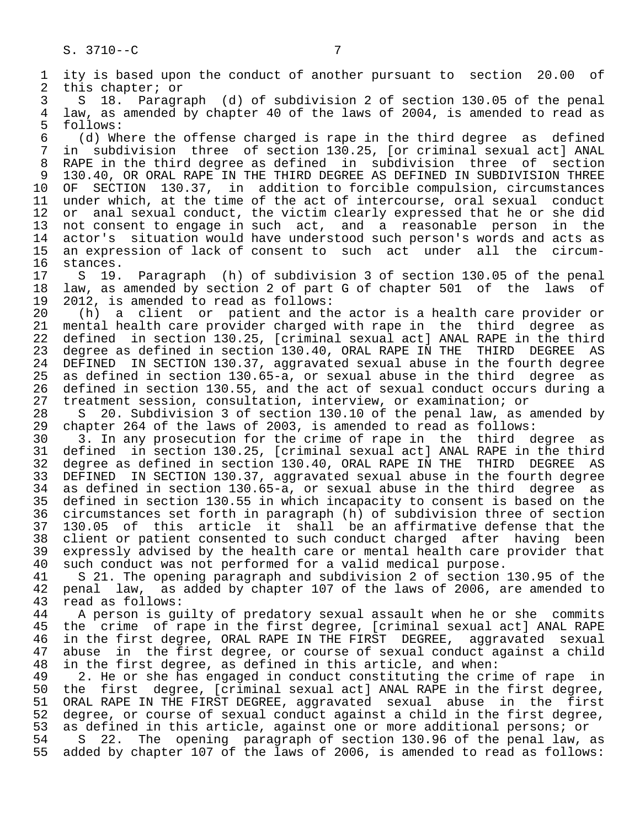1 ity is based upon the conduct of another pursuant to section 20.00 of<br>2 this chapter; or 2 this chapter; or<br>3 S 18. Paragr 3 S 18. Paragraph (d) of subdivision 2 of section 130.05 of the penal 4 law, as amended by chapter 40 of the laws of 2004, is amended to read as 5 follows:<br>6 (d) Wh 6 (d) Where the offense charged is rape in the third degree as defined in subdivision three of section 130.25, [or criminal sexual act] ANAL 8 RAPE in the third degree as defined in subdivision three of section 9 130.40, OR ORAL RAPE IN THE THIRD DEGREE AS DEFINED IN SUBDIVISION THREE<br>10 OF SECTION 130.37, in addition to forcible compulsion, circumstances 10 OF SECTION 130.37, in addition to forcible compulsion, circumstances 11 under which, at the time of the act of intercourse, oral sexual conduct<br>12 or anal sexual conduct, the victim clearly expressed that he or she did 12 or anal sexual conduct, the victim clearly expressed that he or she did<br>13 not consent to engage in such act, and a reasonable person in the 13 not consent to engage in such act, and a reasonable person in the<br>14 actor's situation would have understood such person's words and acts as actor's situation would have understood such person's words and acts as 15 an expression of lack of consent to such act under all the circum- 16 stances.<br>17 S 19. 17 S 19. Paragraph (h) of subdivision 3 of section 130.05 of the penal<br>18 law, as amended by section 2 of part G of chapter 501 of the laws of 18 law, as amended by section 2 of part G of chapter 501 of the laws of<br>19 2012, is amended to read as follows: 19 2012, is amended to read as follows:<br>20 (h) a client or patient and th 20 (h) a client or patient and the actor is a health care provider or 21 mental health care provider charged with rape in the third degree as<br>22 defined in section 130.25, [criminal sexual act] ANAL RAPE in the third 22 defined in section 130.25, [criminal sexual act] ANAL RAPE in the third<br>23 degree as defined in section 130.40, ORAL RAPE IN THE THIRD DEGREE AS 23 degree as defined in section 130.40, ORAL RAPE IN THE THIRD DEGREE AS<br>24 DEFINED IN SECTION 130.37, aggravated sexual abuse in the fourth degree 24 DEFINED IN SECTION 130.37, aggravated sexual abuse in the fourth degree as defined in section 130.65-a, or sexual abuse in the third degree as 26 defined in section 130.55, and the act of sexual conduct occurs during a<br>27 treatment session, consultation, interview, or examination; or 27 treatment session, consultation, interview, or examination; or 28 S 20. Subdivision 3 of section 130.10 of the penal law, as amended by 29 chapter 264 of the laws of 2003, is amended to read as follows:<br>30 3. In any prosecution for the crime of rape in the third d 30 3. In any prosecution for the crime of rape in the third degree as 31 defined in section 130.25, [criminal sexual act] ANAL RAPE in the third<br>32 degree as defined in section 130.40, ORAL RAPE IN THE THIRD DEGREE AS 32 degree as defined in section 130.40, ORAL RAPE IN THE THIRD DEGREE AS<br>33 DEFINED IN SECTION 130.37, aggravated sexual abuse in the fourth degree 33 DEFINED IN SECTION 130.37, aggravated sexual abuse in the fourth degree 34 as defined in section 130.65-a, or sexual abuse in the third degree as<br>35 defined in section 130.55 in which incapacity to consent is based on the 35 defined in section 130.55 in which incapacity to consent is based on the<br>36 circumstances set forth in paragraph (h) of subdivision three of section 36 circumstances set forth in paragraph (h) of subdivision three of section 37 130.05 of this article it shall be an affirmative defense that the 38 client or patient consented to such conduct charged after having been<br>39 expressly advised by the health care or mental health care provider that 39 expressly advised by the health care or mental health care provider that<br>40 such conduct was not performed for a valid medical purpose. 40 such conduct was not performed for a valid medical purpose.<br>41 S 21. The opening paragraph and subdivision 2 of section 41 S 21. The opening paragraph and subdivision 2 of section 130.95 of the<br>42 penal law, as added by chapter 107 of the laws of 2006, are amended to 42 penal law, as added by chapter 107 of the laws of 2006, are amended to 43 read as follows: 43 read as follows:<br>44 A person is gu 44 A person is guilty of predatory sexual assault when he or she commits<br>45 the crime of rape in the first degree, [criminal sexual act] ANAL RAPE the crime of rape in the first degree, [criminal sexual act] ANAL RAPE 46 in the first degree, ORAL RAPE IN THE FIRST DEGREE, aggravated sexual<br>47 abuse in the first degree, or course of sexual conduct against a child abuse in the first degree, or course of sexual conduct against a child 48 in the first degree, as defined in this article, and when: 49 2. He or she has engaged in conduct constituting the crime of rape in<br>50 the first degree, [criminal sexual act] ANAL RAPE in the first degree, 50 the first degree, [criminal sexual act] ANAL RAPE in the first degree,<br>51 ORAL RAPE IN THE FIRST DEGREE, aggravated sexual abuse in the first 51 ORAL RAPE IN THE FIRST DEGREE, aggravated sexual abuse in the first<br>52 degree, or course of sexual conduct against a child in the first degree, 52 degree, or course of sexual conduct against a child in the first degree,<br>53 as defined in this article, against one or more additional persons; or 53 as defined in this article, against one or more additional persons; or<br>54 S 22. The opening paragraph of section 130.96 of the penal law, 54 S 22. The opening paragraph of section 130.96 of the penal law, as<br>55 added by chapter 107 of the laws of 2006, is amended to read as follows: added by chapter 107 of the laws of 2006, is amended to read as follows: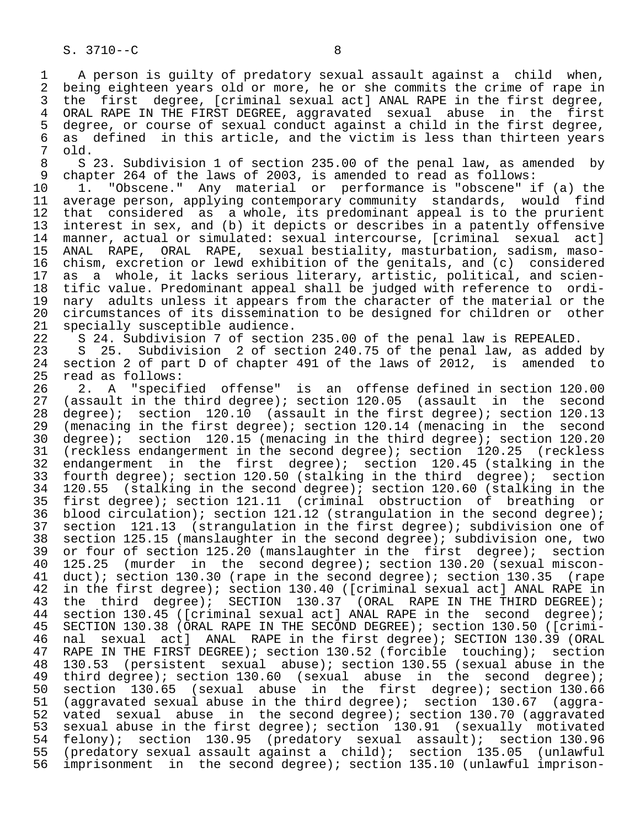1 A person is guilty of predatory sexual assault against a child when,<br>2 being eighteen vears old or more, he or she commits the crime of rape in 2 being eighteen years old or more, he or she commits the crime of rape in<br>3 the first degree, [criminal sexual act] ANAL RAPE in the first degree, 3 the first degree, [criminal sexual act] ANAL RAPE in the first degree,<br>4 ORAL RAPE IN THE FIRST DEGREE, aggravated sexual abuse in the first 4 ORAL RAPE IN THE FIRST DEGREE, aggravated sexual abuse in the first<br>5 degree, or course of sexual conduct against a child in the first degree, 5 degree, or course of sexual conduct against a child in the first degree,<br>6 as defined in this article, and the victim is less than thirteen vears 6 as defined in this article, and the victim is less than thirteen years<br>7 old.  $\begin{array}{cc} 7 & \text{old.} \\ 8 & \text{S} \end{array}$ 

8 S 23. Subdivision 1 of section 235.00 of the penal law, as amended by<br>9 chapter 264 of the laws of 2003, is amended to read as follows: 9 chapter 264 of the laws of 2003, is amended to read as follows:<br>10 1. "Obscene." Any material or performance is "obscene" i

 10 1. "Obscene." Any material or performance is "obscene" if (a) the 11 average person, applying contemporary community standards, would find<br>12 that considered as a whole, its predominant appeal is to the prurient 12 that considered as a whole, its predominant appeal is to the prurient<br>13 interest in sex, and (b) it depicts or describes in a patently offensive 13 interest in sex, and (b) it depicts or describes in a patently offensive<br>14 manner, actual or simulated: sexual intercourse, [criminal sexual act] manner, actual or simulated: sexual intercourse, [criminal sexual act] 15 ANAL RAPE, ORAL RAPE, sexual bestiality, masturbation, sadism, maso- 16 chism, excretion or lewd exhibition of the genitals, and (c) considered<br>17 as a whole, it lacks serious literary, artistic, political, and scien-17 as a whole, it lacks serious literary, artistic, political, and scien-<br>18 tific value. Predominant appeal shall be judged with reference to ordi-18 tific value. Predominant appeal shall be judged with reference to ordi-<br>19 nary adults unless it appears from the character of the material or the 19 nary adults unless it appears from the character of the material or the<br>20 circumstances of its dissemination to be designed for children or other 20 circumstances of its dissemination to be designed for children or other<br>21 specially susceptible audience. 21 specially susceptible audience.<br>22 S 24. Subdivision 7 of sectio

22 S 24. Subdivision 7 of section 235.00 of the penal law is REPEALED.<br>23 S 25. Subdivision 2 of section 240.75 of the penal law, as added

23 S 25. Subdivision 2 of section 240.75 of the penal law, as added by<br>24 section 2 of part D of chapter 491 of the laws of 2012, is amended to 24 section 2 of part D of chapter 491 of the laws of 2012, is amended to<br>25 read as follows: read as follows:

26 2. A "specified offense" is an offense defined in section 120.00<br>27 (assault in the third degree); section 120.05 (assault in the second 27 (assault in the third degree); section  $120.05$  (assault in the second  $28$  degree); section  $120.13$ 28 degree); section 120.10 (assault in the first degree); section 120.13<br>29 (menacing in the first degree); section 120.14 (menacing in the second 29 (menacing in the first degree); section 120.14 (menacing in the second<br>30 degree); section 120.15 (menacing in the third degree); section 120.20 30 degree); section 120.15 (menacing in the third degree); section 120.20<br>31 (reckless endangerment in the second degree); section 120.25 (reckless 31 (reckless endangerment in the second degree); section 120.25 (reckless<br>32 endangerment in the first degree); section 120.45 (stalking in the 32 endangerment in the first degree); section 120.45 (stalking in the<br>33 fourth degree); section 120.50 (stalking in the third degree); section 33 fourth degree); section 120.50 (stalking in the third degree); section<br>34 120.55 (stalking in the second degree); section 120.60 (stalking in the 34 120.55 (stalking in the second degree); section 120.60 (stalking in the<br>35 first degree); section 121.11 (criminal obstruction of breathing or 35 first degree); section 121.11 (criminal obstruction of breathing or<br>36 blood circulation); section 121.12 (strangulation in the second degree); blood circulation); section 121.12 (strangulation in the second degree); 37 section 121.13 (strangulation in the first degree); subdivision one of<br>38 section 125.15 (manslaughter in the second degree); subdivision one, two 38 section 125.15 (manslaughter in the second degree); subdivision one, two<br>39 or four of section 125.20 (manslaughter in the first degree); section 39 or four of section 125.20 (manslaughter in the first degree); section<br>40 125.25 (murder in the second degree); section 130.20 (sexual miscon-40 125.25 (murder in the second degree); section 130.20 (sexual miscon-<br>41 duct); section 130.30 (rape in the second degree); section 130.35 (rape 41 duct); section 130.30 (rape in the second degree); section 130.35 (rape<br>42 in the first degree); section 130.40 ([criminal sexual act] ANAL RAPE in 42 in the first degree); section 130.40 ([criminal sexual act] ANAL RAPE in<br>43 the third degree); SECTION 130.37 (ORAL RAPE IN THE THIRD DEGREE); 43 the third degree); SECTION 130.37 (ORAL RAPE IN THE THIRD DEGREE);<br>44 section 130.45 ([criminal sexual act] ANAL RAPE in the second degree); 44 section 130.45 ([criminal sexual act] ANAL RAPE in the second degree);<br>45 SECTION 130.38 (ORAL RAPE IN THE SECOND DEGREE); section 130.50 ([crimi-SECTION 130.38 (ORAL RAPE IN THE SECOND DEGREE); section 130.50 ([crimi-46 nal sexual act] ANAL RAPE in the first degree); SECTION 130.39 (ORAL<br>47 RAPE IN THE FIRST DEGREE); section 130.52 (forcible touching); section 47 RAPE IN THE FIRST DEGREE); section 130.52 (forcible touching); section<br>48 130.53 (persistent sexual abuse); section 130.55 (sexual abuse in the 48 130.53 (persistent sexual abuse); section 130.55 (sexual abuse in the<br>49 third degree); section 130.60 (sexual abuse in the second degree); 49 third degree); section 130.60 (sexual abuse in the second degree);<br>50 section 130.65 (sexual abuse in the first degree); section 130.66 50 section 130.65 (sexual abuse in the first degree); section 130.66<br>51 (aggravated sexual abuse in the third degree); section 130.67 (aggra-51 (aggravated sexual abuse in the third degree); section 130.67 (aggra-<br>52 vated sexual abuse in the second degree); section 130.70 (aggravated 52 vated sexual abuse in the second degree); section 130.70 (aggravated<br>53 sexual abuse in the first degree); section 130.91 (sexually motivated 53 sexual abuse in the first degree); section 130.91 (sexually motivated<br>54 felony); section 130.95 (predatory sexual assault); section 130.96 54 felony); section 130.95 (predatory sexual assault); section 130.96<br>55 (predatory sexual assault against a child); section 135.05 (unlawful 55 (predatory sexual assault against a child); section 135.05 (unlawful<br>56 imprisonment in the second degree); section 135.10 (unlawful imprisonimprisonment in the second degree); section 135.10 (unlawful imprison-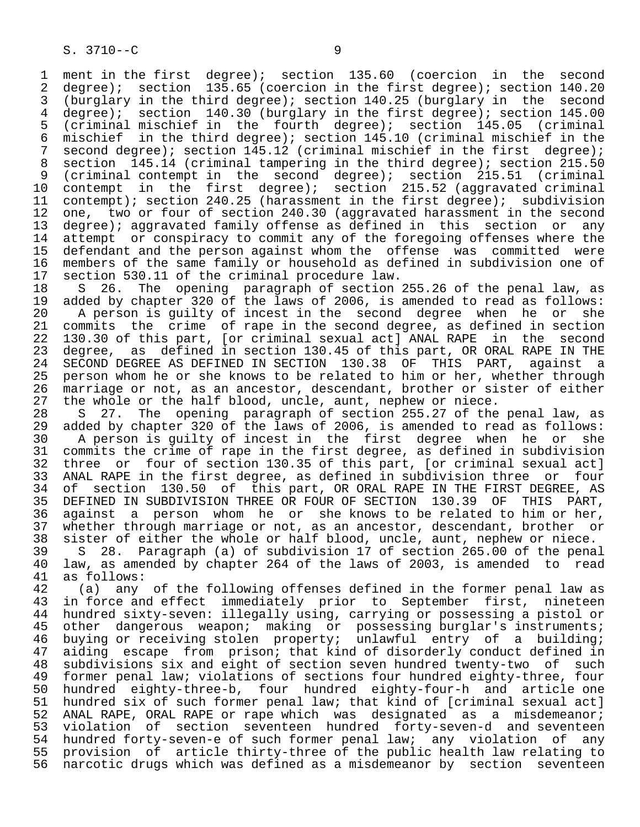1 ment in the first degree); section 135.60 (coercion in the second<br>2 degree); section 135.65 (coercion in the first degree); section 140.20 2 degree); section 135.65 (coercion in the first degree); section 140.20<br>3 (burglary in the third degree); section 140.25 (burglary in the second 3 (burglary in the third degree); section 140.25 (burglary in the second degree); section 145.00 4 degree); section 140.30 (burglary in the first degree); section 145.00<br>5 (criminal mischief in the fourth degree); section 145.05 (criminal 5 (criminal mischief in the fourth degree); section 145.05 (criminal 6 mischief in the third degree); section 145.10 (criminal mischief in the 7 second degree); section 145.12 (criminal mischief in the first degree);<br>8 section 145.14 (criminal tampering in the third degree); section 215.50 8 section 145.14 (criminal tampering in the third degree); section 215.50<br>8 (criminal contempt in the second degree); section 215.51 (criminal 9 (criminal contempt in the second degree); section 215.51 (criminal  $10$  contempt in the first degree); section 215.52 (aggravated criminal 10 contempt in the first degree); section 215.52 (aggravated criminal<br>11 contempt); section 240.25 (harassment in the first degree); subdivision 11 contempt); section 240.25 (harassment in the first degree); subdivision<br>12 one, two or four of section 240.30 (aggravated harassment in the second 12 one, two or four of section 240.30 (aggravated harassment in the second<br>13 degree); aggravated family offense as defined in this section or any 13 degree); aggravated family offense as defined in this section or any<br>14 attempt or conspiracy to commit any of the foregoing offenses where the 14 attempt or conspiracy to commit any of the foregoing offenses where the<br>15 defendant and the person against whom the offense was committed were 15 defendant and the person against whom the offense was committed were<br>16 members of the same family or household as defined in subdivision one of 16 members of the same family or household as defined in subdivision one of 17 section 530.11 of the criminal procedure law. 17 section 530.11 of the criminal procedure law.<br>18 S 26. The opening paragraph of section

18 S 26. The opening paragraph of section 255.26 of the penal law, as<br>19 added by chapter 320 of the laws of 2006, is amended to read as follows: 19 added by chapter 320 of the laws of 2006, is amended to read as follows:<br>20 A person is quilty of incest in the second degree when he or she 20 A person is guilty of incest in the second degree when he or she<br>21 commits the crime of rape in the second degree, as defined in section 21 commits the crime of rape in the second degree, as defined in section<br>22 130.30 of this part, [or criminal sexual act] ANAL RAPE in the second 22 130.30 of this part, [or criminal sexual act] ANAL RAPE in the second<br>23 degree, as defined in section 130.45 of this part, OR ORAL RAPE IN THE 23 degree, as defined in section 130.45 of this part, OR ORAL RAPE IN THE<br>24 SECOND DEGREE AS DEFINED IN SECTION 130.38 OF THIS PART, against a 24 SECOND DEGREE AS DEFINED IN SECTION 130.38 OF THIS PART, against a<br>25 person whom he or she knows to be related to him or her, whether through person whom he or she knows to be related to him or her, whether through 26 marriage or not, as an ancestor, descendant, brother or sister of either<br>27 the whole or the half blood, uncle, aunt, nephew or niece. 27 the whole or the half blood, uncle, aunt, nephew or niece.<br>28 S 27. The opening paragraph of section 255.27 of the

28 S 27. The opening paragraph of section 255.27 of the penal law, as<br>29 added by chapter 320 of the laws of 2006, is amended to read as follows: 29 added by chapter 320 of the laws of 2006, is amended to read as follows:<br>30 A person is quilty of incest in the first degree when he or she 30 A person is guilty of incest in the first degree when he or she<br>31 commits the crime of rape in the first degree, as defined in subdivision 31 commits the crime of rape in the first degree, as defined in subdivision<br>32 three or four of section 130.35 of this part, [or criminal sexual act] 32 three or four of section 130.35 of this part, [or criminal sexual act]<br>33 ANAL RAPE in the first degree, as defined in subdivision three or four 33 ANAL RAPE in the first degree, as defined in subdivision three or four<br>34 of section 130.50 of this part, OR ORAL RAPE IN THE FIRST DEGREE, AS 34 of section 130.50 of this part, OR ORAL RAPE IN THE FIRST DEGREE, AS<br>35 DEFINED IN SUBDIVISION THREE OR FOUR OF SECTION 130.39 OF THIS PART. 35 DEFINED IN SUBDIVISION THREE OR FOUR OF SECTION 130.39 OF THIS PART,<br>36 against a person whom he or she knows to be related to him or her, against a person whom he or she knows to be related to him or her, 37 whether through marriage or not, as an ancestor, descendant, brother or<br>38 sister of either the whole or half blood, uncle, aunt, nephew or niece. 38 sister of either the whole or half blood, uncle, aunt, nephew or niece.<br>39 S 28. Paragraph (a) of subdivision 17 of section 265.00 of the pena

39 S 28. Paragraph (a) of subdivision 17 of section 265.00 of the penal<br>40 law, as amended by chapter 264 of the laws of 2003, is amended to read 40 law, as amended by chapter 264 of the laws of 2003, is amended to read 41 as follows:<br>42 (a) any

42 (a) any of the following offenses defined in the former penal law as<br>43 in force and effect immediately prior to September first, nineteen 43 in force and effect immediately prior to September first, nineteen<br>44 hundred sixty-seven: illegally using, carrying or possessing a pistol or 44 hundred sixty-seven: illegally using, carrying or possessing a pistol or<br>45 other dangerous weapon; making or possessing burglar's instruments; 45 other dangerous weapon; making or possessing burglar's instruments; 46 buying or receiving stolen property; unlawful entry of a building; 47 aiding escape from prison; that kind of disorderly conduct defined in<br>48 subdivisions six and eight of section seven hundred twenty-two of such 48 subdivisions six and eight of section seven hundred twenty-two of such<br>49 former penal law; violations of sections four hundred eighty-three, four 49 former penal law; violations of sections four hundred eighty-three, four<br>50 hundred eighty-three-b, four hundred eighty-four-h and article one 50 hundred eighty-three-b, four hundred eighty-four-h and article one<br>51 hundred six of such former penal law; that kind of [criminal sexual act] 51 hundred six of such former penal law; that kind of [criminal sexual act]<br>52 ANAL RAPE, ORAL RAPE or rape which was designated as a misdemeanor; 52 ANAL RAPE, ORAL RAPE or rape which was designated as a misdemeanor;<br>53 violation of section seventeen hundred fortv-seven-d and seventeen 53 violation of section seventeen hundred forty-seven-d and seventeen<br>54 hundred forty-seven-e of such former penal law; any violation of any hundred forty-seven-e of such former penal law; any violation of any 55 provision of article thirty-three of the public health law relating to 56 narcotic drugs which was defined as a misdemeanor by section seventeen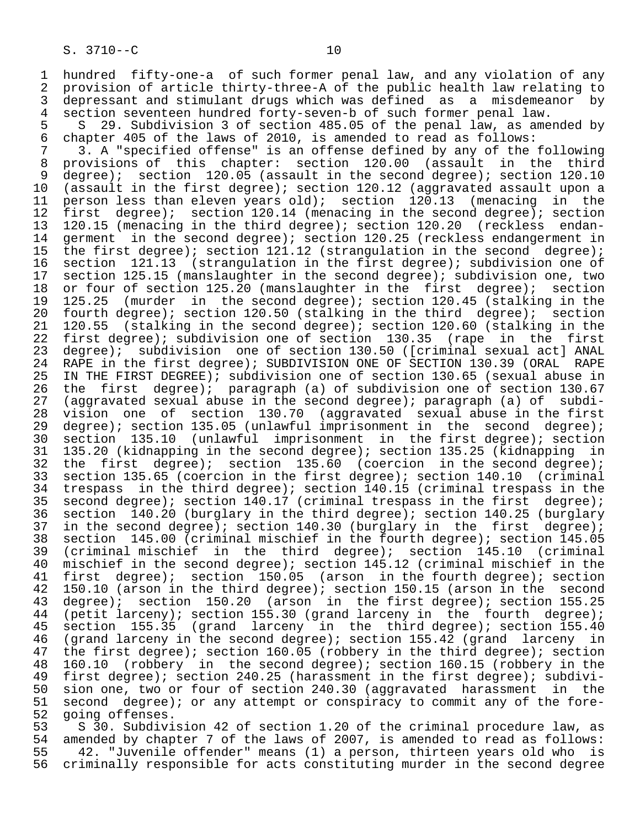1 hundred fifty-one-a of such former penal law, and any violation of any<br>2 provision of article thirty-three-A of the public health law relating to 2 provision of article thirty-three-A of the public health law relating to<br>3 depressant and stimulant drugs which was defined as a misdemeanor by 3 depressant and stimulant drugs which was defined as a misdemeanor by<br>4 section seventeen hundred forty-seven-b of such former penal law. 4 section seventeen hundred forty-seven-b of such former penal law.<br>5 S 29. Subdivision 3 of section 485.05 of the penal law, as ame

5 S 29. Subdivision 3 of section 485.05 of the penal law, as amended by<br>6 chapter 405 of the laws of 2010, is amended to read as follows: 6 chapter 405 of the laws of 2010, is amended to read as follows:

7 3. A "specified offense" is an offense defined by any of the following<br>8 provisions of this chapter: section 120.00 (assault in the third 8 provisions of this chapter: section 120.00 (assault in the third<br>9 degree); section 120.05 (assault in the second degree); section 120.10 9 degree); section  $120.05$  (assault in the second degree); section  $120.10$ <br>10 (assault in the first degree); section 120.12 (aggravated assault upon a 10 (assault in the first degree); section 120.12 (aggravated assault upon a<br>11 person less than eleven years old); section 120.13 (menacing in the 11 person less than eleven years old); section  $120.13$  (menacing in the 12 first degree); section 12 first degree); section 120.14 (menacing in the second degree); section<br>13 120.15 (menacing in the third degree); section 120.20 (reckless endan-13 120.15 (menacing in the third degree); section 120.20 (reckless endan-<br>14 germent in the second degree); section 120.25 (reckless endangerment in 14 germent in the second degree); section 120.25 (reckless endangerment in<br>15 the first degree); section 121.12 (strangulation in the second degree); 15 the first degree); section 121.12 (strangulation in the second degree);<br>16 section 121.13 (strangulation in the first degree); subdivision one of 16 section 121.13 (strangulation in the first degree); subdivision one of<br>17 section 125.15 (manslaughter in the second degree); subdivision one, two 17 section 125.15 (manslaughter in the second degree); subdivision one, two<br>18 or four of section 125.20 (manslaughter in the first degree); section 18 or four of section 125.20 (manslaughter in the first degree); section<br>19 125.25 (murder in the second degree); section 120.45 (stalking in the 19 125.25 (murder in the second degree); section 120.45 (stalking in the<br>20 fourth degree); section 120.50 (stalking in the third degree); section 20 fourth degree); section 120.50 (stalking in the third degree); section<br>21 120.55 (stalking in the second degree); section 120.60 (stalking in the 21 120.55 (stalking in the second degree); section 120.60 (stalking in the 11 the first 22 first degree); subdivision one of section 130.35 (rape in the first<br>23 degree); subdivision one of section 130.50 ([criminal sexual act] ANAL 23 degree); subdivision one of section 130.50 ([criminal sexual act] ANAL<br>24 RAPE in the first degree); SUBDIVISION ONE OF SECTION 130.39 (ORAL RAPE 24 RAPE in the first degree); SUBDIVISION ONE OF SECTION 130.39 (ORAL RAPE<br>25 IN THE FIRST DEGREE); subdivision one of section 130.65 (sexual abuse in IN THE FIRST DEGREE); subdivision one of section 130.65 (sexual abuse in 26 the first degree); paragraph (a) of subdivision one of section 130.67<br>27 (aggravated sexual abuse in the second degree); paragraph (a) of subdi-27 (aggravated sexual abuse in the second degree); paragraph (a) of subdi-<br>28 vision one of section 130.70 (aggravated sexual abuse in the first 28 vision one of section 130.70 (aggravated sexual abuse in the first<br>29 degree); section 135.05 (unlawful imprisonment in the second degree); 29 degree); section 135.05 (unlawful imprisonment in the second degree);<br>30 section 135.10 (unlawful imprisonment in the first degree); section 30 section 135.10 (unlawful imprisonment in the first degree); section<br>31 135.20 (kidnapping in the second degree); section 135.25 (kidnapping in 31 135.20 (kidnapping in the second degree); section 135.25 (kidnapping in 32 the first degree); section 135.60 (coercion in the second degree);<br>33 section 135.65 (coercion in the first degree); section 140.10 (criminal 33 section 135.65 (coercion in the first degree); section 140.10 (criminal<br>34 trespass in the third degree); section 140.15 (criminal trespass in the 34 trespass in the third degree); section 140.15 (criminal trespass in the<br>35 second degree); section 140.17 (criminal trespass in the first degree); 35 second degree); section 140.17 (criminal trespass in the first degree); 36 section 140.20 (burglary in the third degree); section 140.25 (burglary<br>37 in the second degree); section 140.30 (burglary in the first degree); 37 in the second degree); section 140.30 (burglary in the first degree);<br>38 section 145.00 (criminal mischief in the fourth degree); section 145.05 38 section 145.00 (criminal mischief in the fourth degree); section 145.05<br>39 (criminal mischief in the third degree); section 145.10 (criminal 39 (criminal mischief in the third degree); section 145.10 (criminal<br>40 mischief in the second degree); section 145.12 (criminal mischief in the 40 mischief in the second degree); section 145.12 (criminal mischief in the<br>41 first degree); section 150.05 (arson in the fourth degree); section 41 first degree); section 150.05 (arson in the fourth degree); section<br>42 150.10 (arson in the third degree); section 150.15 (arson in the second 42 150.10 (arson in the third degree); section 150.15 (arson in the second 43 degree); section 155.25 43 degree); section 150.20 (arson in the first degree); section 155.25<br>44 (petit larceny); section 155.30 (grand larceny in the fourth degree); 44 (petit larceny); section 155.30 (grand larceny in the fourth degree);<br>45 section 155.35 (grand larceny in the third degree); section 155.40 45 section 155.35 (grand larceny in the third degree); section 155.40<br>46 (grand larceny in the second degree); section 155.42 (grand larceny in 46 (grand larceny in the second degree); section 155.42 (grand larceny in<br>47 the first degree); section 160.05 (robbery in the third degree); section 47 the first degree); section 160.05 (robbery in the third degree); section<br>48 160.10 (robbery in the second degree); section 160.15 (robbery in the 48 160.10 (robbery in the second degree); section 160.15 (robbery in the<br>49 first degree); section 240.25 (harassment in the first degree); subdivi-49 first degree); section 240.25 (harassment in the first degree); subdivi-<br>50 sion one, two or four of section 240.30 (aggravated harassment in the 50 sion one, two or four of section 240.30 (aggravated harassment in the<br>51 second degree); or any attempt or conspiracy to commit any of the fore-51 second degree); or any attempt or conspiracy to commit any of the fore-<br>52 going offenses.

52 going offenses.<br>53 530. Subdivi 53 S 30. Subdivision 42 of section 1.20 of the criminal procedure law, as<br>54 amended by chapter 7 of the laws of 2007, is amended to read as follows: 54 amended by chapter 7 of the laws of 2007, is amended to read as follows:<br>55 42. "Juvenile offender" means (1) a person, thirteen years old who is 55 42. "Juvenile offender" means (1) a person, thirteen years old who is<br>56 criminally responsible for acts constituting murder in the second degree criminally responsible for acts constituting murder in the second degree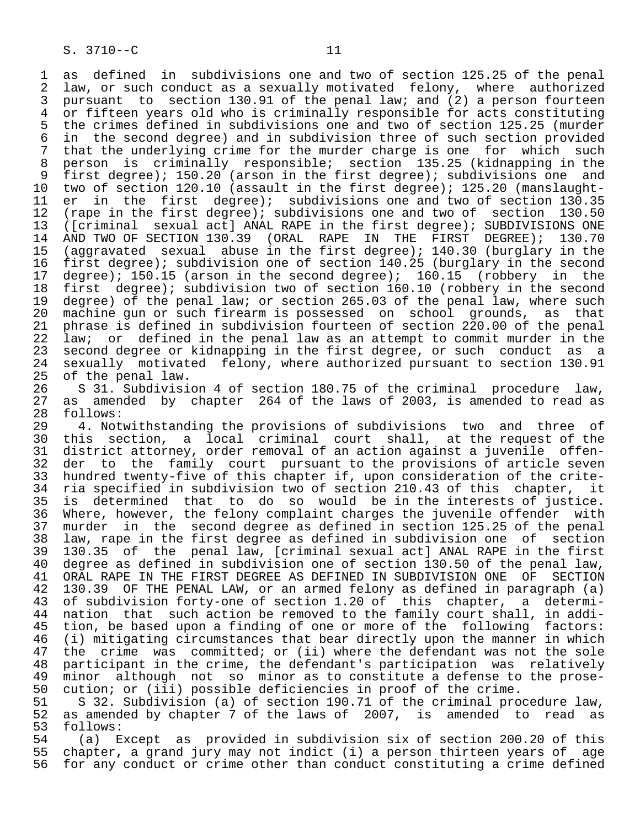1 as defined in subdivisions one and two of section 125.25 of the penal<br>2 law, or such conduct as a sexually motivated felony, where authorized 2 law, or such conduct as a sexually motivated felony, where authorized<br>3 pursuant to section 130.91 of the penal law; and (2) a person fourteen 3 pursuant to section 130.91 of the penal law; and (2) a person fourteen<br>4 or fifteen vears old who is criminally responsible for acts constituting 4 or fifteen years old who is criminally responsible for acts constituting<br>5 the crimes defined in subdivisions one and two of section 125.25 (murder 5 the crimes defined in subdivisions one and two of section 125.25 (murder<br>6 in the second degree) and in subdivision three of such section provided 6 in the second degree) and in subdivision three of such section provided 7 that the underlying crime for the murder charge is one for which such<br>8 person is criminally responsible; section 135.25 (kidnapping in the 8 person is criminally responsible; section 135.25 (kidnapping in the<br>9 first degree); 150.20 (arson in the first degree); subdivisions one and <sup>1</sup> first degree); 150.20 (arson in the first degree); subdivisions one and<br>10 two of section 120.10 (assault in the first degree); 125.20 (manslaught-10 two of section 120.10 (assault in the first degree); 125.20 (manslaught-<br>11 er in the first degree); subdivisions one and two of section 130.35 11 er in the first degree); subdivisions one and two of section 130.35<br>12 (rape in the first degree); subdivisions one and two of section 130.50 12 (rape in the first degree); subdivisions one and two of section 130.50<br>13 ([criminal sexual act] ANAL RAPE in the first degree); SUBDIVISIONS ONE 13 ([criminal sexual act] ANAL RAPE in the first degree); SUBDIVISIONS ONE<br>14 AND TWO OF SECTION 130.39 (ORAL RAPE IN THE FIRST DEGREE); 130.70 14 AND TWO OF SECTION 130.39 (ORAL RAPE IN THE FIRST DEGREE);<br>15 (aggravated sexual abuse in the first degree); 140.30 (burglary 15 (aggravated sexual abuse in the first degree); 140.30 (burglary in the<br>16 first degree); subdivision one of section 140.25 (burglary in the second 16 first degree); subdivision one of section 140.25 (burglary in the second<br>17 degree); 150.15 (arson in the second degree); 160.15 (robbery in the 17 degree); 150.15 (arson in the second degree); 160.15<br>18 first degree); subdivision two of section 160.10 (rob 18 first degree); subdivision two of section 160.10 (robbery in the second<br>19 degree) of the penal law; or section 265.03 of the penal law, where such 19 degree) of the penal law; or section 265.03 of the penal law, where such<br>20 machine gun or such firearm is possessed on school grounds, as that 20 machine gun or such firearm is possessed on school grounds, as that<br>21 phrase is defined in subdivision fourteen of section 220.00 of the penal 21 phrase is defined in subdivision fourteen of section 220.00 of the penal<br>22 law; or defined in the penal law as an attempt to commit murder in the 22 law; or defined in the penal law as an attempt to commit murder in the<br>23 second degree or kidnapping in the first degree, or such conduct as a 23 second degree or kidnapping in the first degree, or such conduct as a<br>24 sexually motivated felony, where authorized pursuant to section 130.91 24 sexually motivated felony, where authorized pursuant to section 130.91<br>25 of the penal law. of the penal law.

26 S 31. Subdivision 4 of section 180.75 of the criminal procedure law,<br>27 as amended by chapter 264 of the laws of 2003, is amended to read as 27 as amended by chapter 264 of the laws of 2003, is amended to read as 28 follows:

28 follows:<br>29 4. Not 29 4. Notwithstanding the provisions of subdivisions two and three of<br>30 this section, a local criminal court shall, at the request of the 30 this section, a local criminal court shall, at the request of the<br>31 district attorney, order removal of an action against a juvenile offen-31 district attorney, order removal of an action against a juvenile offen-<br>32 der to the family court pursuant to the provisions of article seven 32 der to the family court pursuant to the provisions of article seven<br>33 hundred twenty-five of this chapter if, upon consideration of the crite-33 hundred twenty-five of this chapter if, upon consideration of the crite-<br>34 ria specified in subdivision two of section 210.43 of this chapter, it 34 ria specified in subdivision two of section 210.43 of this chapter, it<br>35 is determined that to do so would be in the interests of justice. 35 is determined that to do so would be in the interests of justice.<br>36 Where, however, the felony complaint charges the juvenile offender with Where, however, the felony complaint charges the juvenile offender with 37 murder in the second degree as defined in section 125.25 of the penal 38 law, rape in the first degree as defined in subdivision one of section 39 130.35 of the penal law, [criminal sexual act] ANAL RAPE in the first 40 degree as defined in subdivision one of section 130.50 of the penal law,<br>41 ORAL RAPE IN THE FIRST DEGREE AS DEFINED IN SUBDIVISION ONE OF SECTION 41 ORAL RAPE IN THE FIRST DEGREE AS DEFINED IN SUBDIVISION ONE OF SECTION<br>42 130.39 OF THE PENAL LAW, or an armed felony as defined in paragraph (a) 42 130.39 OF THE PENAL LAW, or an armed felony as defined in paragraph (a)<br>43 of subdivision forty-one of section 1.20 of this chapter, a determi-43 of subdivision forty-one of section 1.20 of this chapter, a determi-<br>44 nation that such action be removed to the family court shall, in addi-44 nation that such action be removed to the family court shall, in addi-<br>45 tion, be based upon a finding of one or more of the following factors: tion, be based upon a finding of one or more of the following factors: 46 (i) mitigating circumstances that bear directly upon the manner in which<br>47 the crime was committed; or (ii) where the defendant was not the sole 47 the crime was committed; or (ii) where the defendant was not the sole<br>48 participant in the crime, the defendant's participation was relatively 48 participant in the crime, the defendant's participation was relatively<br>49 minor although not so minor as to constitute a defense to the prose-49 minor although not so minor as to constitute a defense to the prose-<br>50 cution; or (iii) possible deficiencies in proof of the crime. 50 cution; or (iii) possible deficiencies in proof of the crime.<br>51 S 32. Subdivision (a) of section 190.71 of the criminal pro

51 S 32. Subdivision (a) of section 190.71 of the criminal procedure law,<br>52 as amended by chapter 7 of the laws of 2007, is amended to read as 52 as amended by chapter 7 of the laws of 2007, is amended to read as 53 follows: 53 follows:<br>54 (a) E

 54 (a) Except as provided in subdivision six of section 200.20 of this 55 chapter, a grand jury may not indict (i) a person thirteen years of age for any conduct or crime other than conduct constituting a crime defined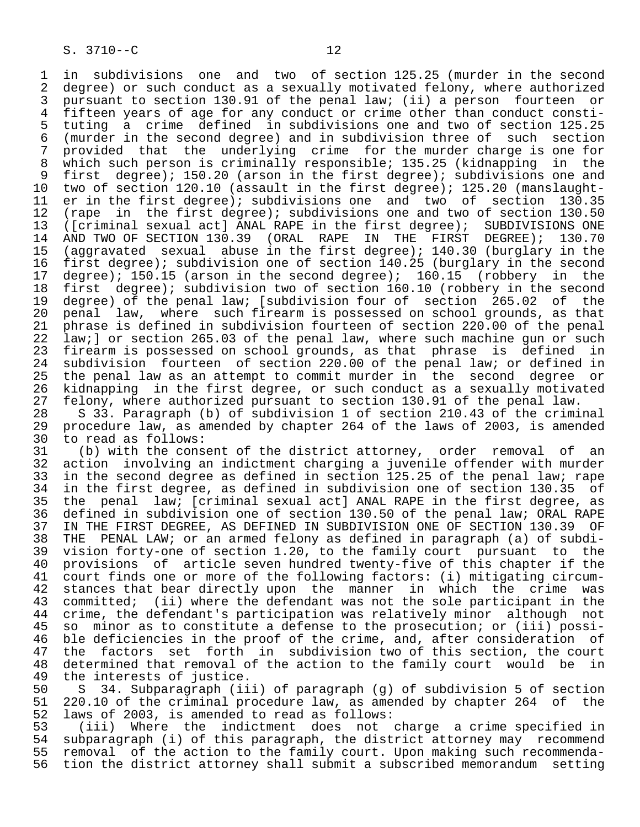1 in subdivisions one and two of section 125.25 (murder in the second<br>2 degree) or such conduct as a sexually motivated felony, where authorized 2 degree) or such conduct as a sexually motivated felony, where authorized<br>3 pursuant to section 130.91 of the penal law; (ii) a person fourteen or 3 pursuant to section 130.91 of the penal law; (ii) a person fourteen or<br>4 fifteen vears of age for any conduct or crime other than conduct consti-4 fifteen years of age for any conduct or crime other than conduct consti-<br>5 tuting a crime defined in subdivisions one and two of section 125.25 5 tuting a crime defined in subdivisions one and two of section 125.25<br>6 (murder in the second degree) and in subdivision three of such section 6 (murder in the second degree) and in subdivision three of such section 7 provided that the underlying crime for the murder charge is one for<br>8 which such person is criminally responsible; 135.25 (kidnapping in the 8 which such person is criminally responsible; 135.25 (kidnapping in the<br>9 first degree); 150.20 (arson in the first degree); subdivisions one and 9 first degree); 150.20 (arson in the first degree); subdivisions one and<br>10 two of section 120.10 (assault in the first degree); 125.20 (manslaught-10 two of section 120.10 (assault in the first degree); 125.20 (manslaught-<br>11 er in the first degree); subdivisions one and two of section 130.35 11 er in the first degree); subdivisions one and two of section 130.35<br>12 (rape in the first degree); subdivisions one and two of section 130.50 12 (rape in the first degree); subdivisions one and two of section 130.50<br>13 ([criminal sexual act] ANAL RAPE in the first degree); SUBDIVISIONS ONE 13 ([criminal sexual act] ANAL RAPE in the first degree); SUBDIVISIONS ONE<br>14 AND TWO OF SECTION 130.39 (ORAL RAPE IN THE FIRST DEGREE); 130.70 AND TWO OF SECTION 130.39 (ORAL RAPE IN THE FIRST DEGREE); 15 (aggravated sexual abuse in the first degree); 140.30 (burglary in the<br>16 first degree); subdivision one of section 140.25 (burglary in the second 16 first degree); subdivision one of section 140.25 (burglary in the second<br>17 degree); 150.15 (arson in the second degree); 160.15 (robbery in the 17 degree); 150.15 (arson in the second degree); 160.15<br>18 first degree); subdivision two of section 160.10 (rob 18 first degree); subdivision two of section 160.10 (robbery in the second<br>19 degree) of the penal law; [subdivision four of section 265.02 of the 19 degree) of the penal law; [subdivision four of section 265.02 of the<br>20 penal law, where such firearm is possessed on school grounds, as that 20 penal law, where such firearm is possessed on school grounds, as that<br>21 phrase is defined in subdivision fourteen of section 220.00 of the penal 21 phrase is defined in subdivision fourteen of section 220.00 of the penal<br>22 law;] or section 265.03 of the penal law, where such machine gun or such 22 law;] or section 265.03 of the penal law, where such machine gun or such<br>23 firearm is possessed on school grounds, as that phrase is defined in 23 firearm is possessed on school grounds, as that phrase is defined in<br>24 subdivision fourteen of section 220.00 of the penal law; or defined in 24 subdivision fourteen of section 220.00 of the penal law; or defined in<br>25 the penal law as an attempt to commit murder in the second degree or 25 the penal law as an attempt to commit murder in the second degree or 26 kidnapping in the first degree, or such conduct as a sexually motivated<br>27 felony, where authorized pursuant to section 130.91 of the penal law. 27 felony, where authorized pursuant to section 130.91 of the penal law.<br>28 S 33. Paragraph (b) of subdivision 1 of section 210.43 of the crimi

28 S  $33.$  Paragraph (b) of subdivision 1 of section 210.43 of the criminal<br>29 procedure law, as amended by chapter 264 of the laws of 2003, is amended 29 procedure law, as amended by chapter 264 of the laws of 2003, is amended 30 to read as follows:<br>31 (b) with the cons

31 (b) with the consent of the district attorney, order removal of an<br>32 action involving an indictment charging a juvenile offender with murder 32 action involving an indictment charging a juvenile offender with murder<br>33 in the second degree as defined in section 125.25 of the penal law; rape 33 in the second degree as defined in section 125.25 of the penal law; rape<br>34 in the first degree, as defined in subdivision one of section 130.35 of 34 in the first degree, as defined in subdivision one of section 130.35 of<br>35 the penal law; [criminal sexual act] ANAL RAPE in the first degree, as 35 the penal law; [criminal sexual act] ANAL RAPE in the first degree, as<br>36 defined in subdivision one of section 130.50 of the penal law; ORAL RAPE defined in subdivision one of section 130.50 of the penal law; ORAL RAPE 37 IN THE FIRST DEGREE, AS DEFINED IN SUBDIVISION ONE OF SECTION 130.39 OF<br>38 THE PENAL LAW; or an armed felony as defined in paragraph (a) of subdi- 38 THE PENAL LAW; or an armed felony as defined in paragraph (a) of subdi- 39 vision forty-one of section 1.20, to the family court pursuant to the 40 provisions of article seven hundred twenty-five of this chapter if the<br>41 court finds one or more of the following factors: (i) mitigating circum-41 court finds one or more of the following factors: (i) mitigating circum-<br>42 stances that bear directly upon the manner in which the crime was 42 stances that bear directly upon the manner in which the crime was<br>43 committed; (ii) where the defendant was not the sole participant in the 43 committed; (ii) where the defendant was not the sole participant in the<br>44 crime, the defendant's participation was relatively minor although not 44 crime, the defendant's participation was relatively minor although not<br>45 so minor as to constitute a defense to the prosecution; or (iii) possiso minor as to constitute a defense to the prosecution; or (iii) possi-46 ble deficiencies in the proof of the crime, and, after consideration of<br>47 the factors set forth in subdivision two of this section, the court 47 the factors set forth in subdivision two of this section, the court<br>48 determined that removal of the action to the family court would be in 48 determined that removal of the action to the family court would be in<br>49 the interests of justice. 49 the interests of justice.<br>50 S 34. Subparagraph (ii

50 S 34. Subparagraph (iii) of paragraph (g) of subdivision 5 of section<br>51 220.10 of the criminal procedure law, as amended by chapter 264 of the 51 220.10 of the criminal procedure law, as amended by chapter 264 of the<br>52 laws of 2003, is amended to read as follows: 52 laws of 2003, is amended to read as follows:

 53 (iii) Where the indictment does not charge a crime specified in 54 subparagraph (i) of this paragraph, the district attorney may recommend<br>55 removal of the action to the family court. Upon making such recommenda-55 removal of the action to the family court. Upon making such recommenda-<br>56 tion the district attorney shall submit a subscribed memorandum setting tion the district attorney shall submit a subscribed memorandum setting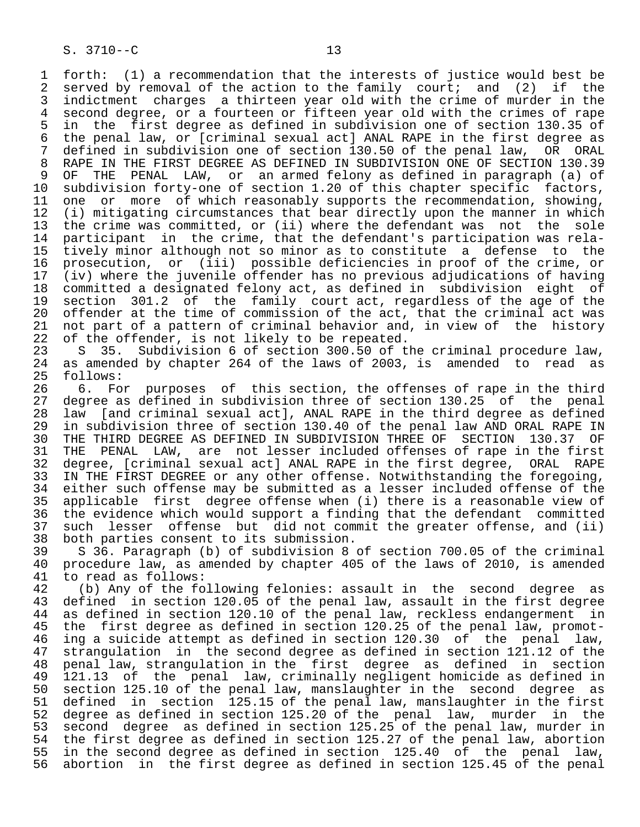1 forth: (1) a recommendation that the interests of justice would best be<br>2 served by removal of the action to the family court; and (2) if the 2 served by removal of the action to the family court; and (2) if the<br>3 indictment charges a thirteen year old with the crime of murder in the 3 indictment charges a thirteen year old with the crime of murder in the<br>4 second degree, or a fourteen or fifteen year old with the crimes of rape 4 second degree, or a fourteen or fifteen year old with the crimes of rape<br>5 in the first degree as defined in subdivision one of section 130.35 of 5 in the first degree as defined in subdivision one of section 130.35 of 6 the penal law, or [criminal sexual act] ANAL RAPE in the first degree as<br>7 defined in subdivision one of section 130.50 of the penal law, OR ORAL 7 defined in subdivision one of section 130.50 of the penal law, OR ORAL<br>8 RAPE IN THE FIRST DEGREE AS DEFINED IN SUBDIVISION ONE OF SECTION 130.39 8 RAPE IN THE FIRST DEGREE AS DEFINED IN SUBDIVISION ONE OF SECTION 130.39<br>9 OF THE PENAL LAW, or an armed felony as defined in paragraph (a) of 9 OF THE PENAL LAW, or an armed felony as defined in paragraph (a) of 10 subdivision forty-one of section 1.20 of this chapter specific factors. 10 subdivision forty-one of section 1.20 of this chapter specific factors,<br>11 one or more of which reasonably supports the recommendation, showing, 11 one or more of which reasonably supports the recommendation, showing,<br>12 (i) mitigating circumstances that bear directly upon the manner in which 12 (i) mitigating circumstances that bear directly upon the manner in which<br>13 the crime was committed, or (ii) where the defendant was not the sole 13 the crime was committed, or (ii) where the defendant was not the sole<br>14 participant in the crime, that the defendant's participation was relaparticipant in the crime, that the defendant's participation was rela- 15 tively minor although not so minor as to constitute a defense to the 16 prosecution, or (iii) possible deficiencies in proof of the crime, or<br>17 (iv) where the juvenile offender has no previous adjudications of having 17 (iv) where the juvenile offender has no previous adjudications of having 18 committed a designated felony act, as defined in subdivision eight of 19 section 301.2 of the family court act, regardless of the age of the<br>20 offender at the time of commission of the act, that the criminal act was 20 offender at the time of commission of the act, that the criminal act was<br>21 not part of a pattern of criminal behavior and, in view of the history 21 not part of a pattern of criminal behavior and, in view of the history<br>22 of the offender, is not likely to be repeated. 22 of the offender, is not likely to be repeated.<br>23 S 35. Subdivision 6 of section 300.50 of t

23 S 35. Subdivision 6 of section 300.50 of the criminal procedure law,<br>24 as amended by chapter 264 of the laws of 2003, is amended to read as 24 as amended by chapter 264 of the laws of 2003, is amended to read as 25 follows: follows:

26 6. For purposes of this section, the offenses of rape in the third<br>27 degree as defined in subdivision three of section 130.25 of the penal 27 degree as defined in subdivision three of section 130.25 of the penal<br>28 law [and criminal sexual act], ANAL RAPE in the third degree as defined 28 law [and criminal sexual act], ANAL RAPE in the third degree as defined 29 in subdivision three of section 130.40 of the penal law AND ORAL RAPE IN<br>20 THE THIRD DEGREE AS DEFINED IN SUBDIVISION THREE OF SECTION 130.37 OF 30 THE THIRD DEGREE AS DEFINED IN SUBDIVISION THREE OF SECTION 130.37 OF<br>31 THE PENAL LAW, are not lesser included offenses of rape in the first 31 THE PENAL LAW, are not lesser included offenses of rape in the first 32 degree, [criminal sexual act] ANAL RAPE in the first degree, ORAL RAPE<br>33 IN THE FIRST DEGREE or any other offense. Notwithstanding the foregoing, 33 IN THE FIRST DEGREE or any other offense. Notwithstanding the foregoing,<br>34 either such offense may be submitted as a lesser included offense of the 34 either such offense may be submitted as a lesser included offense of the<br>35 applicable first degree offense when (i) there is a reasonable view of 35 applicable first degree offense when (i) there is a reasonable view of<br>36 the evidence which would support a finding that the defendant committed the evidence which would support a finding that the defendant committed 37 such lesser offense but did not commit the greater offense, and (ii)<br>38 both parties consent to its submission. 38 both parties consent to its submission.<br>39 S 36. Paragraph (b) of subdivision 8

39 S 36. Paragraph (b) of subdivision 8 of section 700.05 of the criminal<br>40 procedure law, as amended by chapter 405 of the laws of 2010, is amended 40 procedure law, as amended by chapter 405 of the laws of 2010, is amended 41 to read as follows: 41 to read as follows:<br>42 (b) Any of the fo

42 (b) Any of the following felonies: assault in the second degree as<br>43 defined in section 120.05 of the penal law, assault in the first degree 43 defined in section 120.05 of the penal law, assault in the first degree<br>44 as defined in section 120.10 of the penal law, reckless endangerment in 44 as defined in section 120.10 of the penal law, reckless endangerment in<br>45 the first degree as defined in section 120.25 of the penal law, promot-45 the first degree as defined in section 120.25 of the penal law, promot-<br>46 ing a suicide attempt as defined in section 120.30 of the penal law. 46 ing a suicide attempt as defined in section 120.30 of the penal law,<br>47 strangulation in the second degree as defined in section 121.12 of the 47 strangulation in the second degree as defined in section 121.12 of the<br>48 penal law, strangulation in the first degree as defined in section 48 penal law, strangulation in the first degree as defined in section 49 121.13 of the penal law, criminally negligent homicide as defined in 50 section 125.10 of the penal law, manslaughter in the second degree as 51 defined in section 125.15 of the penal law, manslaughter in the first<br>52 degree as defined in section 125.20 of the penal law, murder in the 52 degree as defined in section 125.20 of the penal law, murder in the<br>53 second degree as defined in section 125.25 of the penal law, murder in 53 second degree as defined in section 125.25 of the penal law, murder in<br>54 the first degree as defined in section 125.27 of the penal law, abortion 54 the first degree as defined in section 125.27 of the penal law, abortion<br>55 in the second degree as defined in section 125.40 of the penal law, 55 in the second degree as defined in section 125.40 of the penal law,<br>56 abortion in the first degree as defined in section 125.45 of the penal abortion in the first degree as defined in section 125.45 of the penal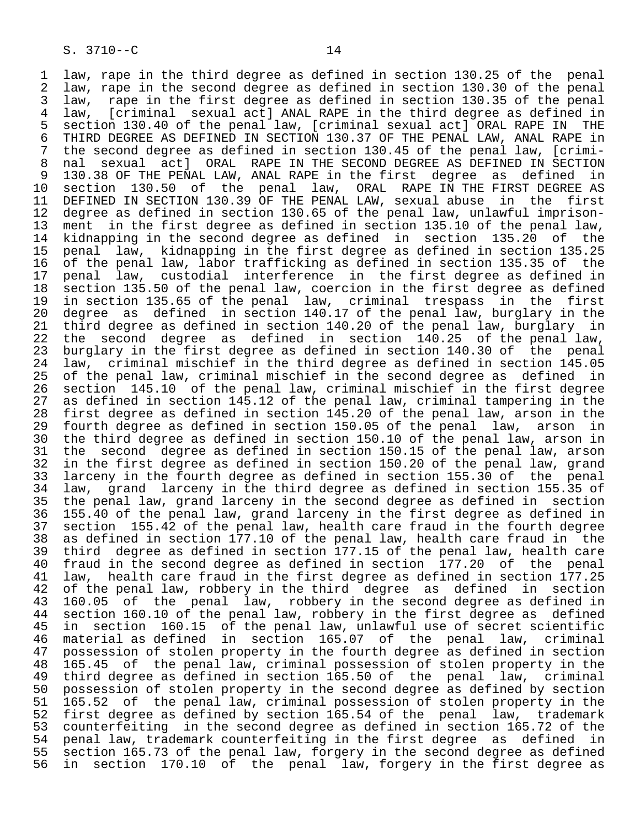1 law, rape in the third degree as defined in section 130.25 of the penal<br>2 law, rape in the second degree as defined in section 130.30 of the penal 2 law, rape in the second degree as defined in section 130.30 of the penal<br>3 law, rape in the first degree as defined in section 130.35 of the penal 3 law, rape in the first degree as defined in section 130.35 of the penal 4 law, [criminal sexual act] ANAL RAPE in the third degree as defined in

5 section 130.40 of the penal law, [criminal sexual act] ORAL RAPE IN THE<br>6 THIRD DEGREE AS DEFINED IN SECTION 130.37 OF THE PENAL LAW, ANAL RAPE in 6 THIRD DEGREE AS DEFINED IN SECTION 130.37 OF THE PENAL LAW, ANAL RAPE in<br>7 the second degree as defined in section 130.45 of the penal law, [crimi-7 the second degree as defined in section 130.45 of the penal law, [crimi-<br>8 nal sexual actl ORAL RAPE IN THE SECOND DEGREE AS DEFINED IN SECTION 8 nal sexual act] ORAL RAPE IN THE SECOND DEGREE AS DEFINED IN SECTION<br>9 130.38 OF THE PENAL LAW, ANAL RAPE in the first degree as defined in 9 130.38 OF THE PENAL LAW, ANAL RAPE in the first degree as defined in<br>10 section 130.50 of the penal law, ORAL RAPE IN THE FIRST DEGREE AS 10 section 130.50 of the penal law, ORAL RAPE IN THE FIRST DEGREE AS<br>11 DEFINED IN SECTION 130.39 OF THE PENAL LAW, sexual abuse in the first 11 DEFINED IN SECTION 130.39 OF THE PENAL LAW, sexual abuse in the first<br>12 degree as defined in section 130.65 of the penal law, unlawful imprison-12 degree as defined in section 130.65 of the penal law, unlawful imprison-<br>13 ment in the first degree as defined in section 135.10 of the penal law. 13 ment in the first degree as defined in section 135.10 of the penal law,<br>14 kidnapping in the second degree as defined in section 135.20 of the kidnapping in the second degree as defined in section 135.20 of the 15 penal law, kidnapping in the first degree as defined in section 135.25 16 of the penal law, labor trafficking as defined in section 135.35 of the<br>17 penal law, custodial interference in the first degree as defined in 17 penal law, custodial interference in the first degree as defined in<br>18 section 135.50 of the penal law, coercion in the first degree as defined 18 section 135.50 of the penal law, coercion in the first degree as defined<br>19 in section 135.65 of the penal law, criminal trespass in the first 19 in section 135.65 of the penal law, criminal trespass in the first 20 degree as defined in section 140.17 of the penal law, burglary in the<br>21 third degree as defined in section 140.20 of the penal law, burglary in 21 third degree as defined in section 140.20 of the penal law, burglary in<br>22 the second degree as defined in section 140.25 of the penal law, 22 the second degree as defined in section 140.25 of the penal law,<br>23 burglary in the first degree as defined in section 140.30 of the penal 23 burglary in the first degree as defined in section 140.30 of the penal<br>24 law, criminal mischief in the third degree as defined in section 145.05 24 law, criminal mischief in the third degree as defined in section 145.05 25 of the penal law, criminal mischief in the second degree as defined in 26 section 145.10 of the penal law, criminal mischief in the first degree<br>27 as defined in section 145.12 of the penal law, criminal tampering in the 27 as defined in section 145.12 of the penal law, criminal tampering in the<br>28 first degree as defined in section 145.20 of the penal law, arson in the 28 first degree as defined in section 145.20 of the penal law, arson in the<br>29 fourth degree as defined in section 150.05 of the penal law, arson in 29 fourth degree as defined in section 150.05 of the penal law, arson in<br>30 the third degree as defined in section 150.10 of the penal law, arson in 30 the third degree as defined in section 150.10 of the penal law, arson in<br>31 the second degree as defined in section 150.15 of the penal law, arson 31 the second degree as defined in section 150.15 of the penal law, arson<br>32 in the first degree as defined in section 150.20 of the penal law, grand 32 in the first degree as defined in section 150.20 of the penal law, grand<br>33 larceny in the fourth degree as defined in section 155.30 of the penal 33 larceny in the fourth degree as defined in section 155.30 of the penal<br>34 law, grand larceny in the third degree as defined in section 155.35 of 34 law, grand larceny in the third degree as defined in section 155.35 of<br>35 the penal law, grand larceny in the second degree as defined in section 35 the penal law, grand larceny in the second degree as defined in section<br>36 155.40 of the penal law, grand larceny in the first degree as defined in 155.40 of the penal law, grand larceny in the first degree as defined in 37 section 155.42 of the penal law, health care fraud in the fourth degree 38 as defined in section 177.10 of the penal law, health care fraud in the 39 third degree as defined in section 177.15 of the penal law, health care 40 fraud in the second degree as defined in section 177.20 of the penal<br>41 law, health care fraud in the first degree as defined in section 177.25 41 law, health care fraud in the first degree as defined in section 177.25<br>42 of the penal law, robbery in the third degree as defined in section 42 of the penal law, robbery in the third degree as defined in section<br>43 160.05 of the penal law, robbery in the second degree as defined in 43 160.05 of the penal law, robbery in the second degree as defined in<br>44 section 160.10 of the penal law, robbery in the first degree as defined 44 section 160.10 of the penal law, robbery in the first degree as defined<br>45 in section 160.15 of the penal law, unlawful use of secret scientific 45 in section 160.15 of the penal law, unlawful use of secret scientific<br>46 material as defined in section 165.07 of the penal law, criminal 19 11 Secondal 1991.<br>46 material as defined in section 165.07 of the penal law, criminal<br>47 possession of stolen property in the fourth degree as defined in section 47 possession of stolen property in the fourth degree as defined in section<br>48 165.45 of the penal law, criminal possession of stolen property in the 48 165.45 of the penal law, criminal possession of stolen property in the 49 third degree as defined in section 165.50 of the penal law, criminal<br>50 possession of stolen property in the second degree as defined by section 50 possession of stolen property in the second degree as defined by section<br>51 165.52 of the penal law, criminal possession of stolen property in the 51 165.52 of the penal law, criminal possession of stolen property in the<br>52 first degree as defined by section 165.54 of the penal law, trademark 52 first degree as defined by section 165.54 of the penal law, trademark<br>53 counterfeiting in the second degree as defined in section 165.72 of the 53 counterfeiting in the second degree as defined in section 165.72 of the<br>54 penal law, trademark counterfeiting in the first degree as defined in 54 penal law, trademark counterfeiting in the first degree as defined in<br>55 section 165.73 of the penal law, forgery in the second degree as defined 55 section 165.73 of the penal law, forgery in the second degree as defined<br>56 in section 170.10 of the penal law, forgery in the first degree as in section 170.10 of the penal law, forgery in the first degree as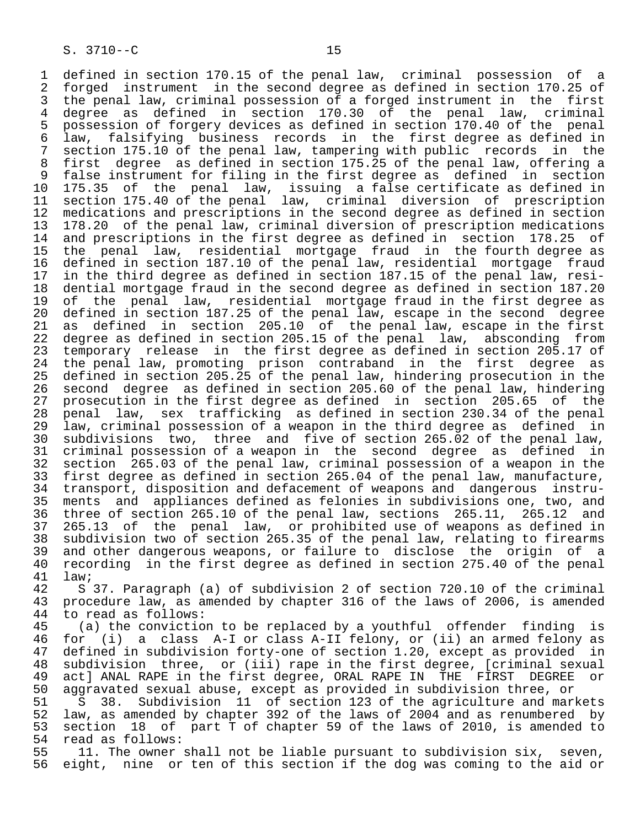1 defined in section 170.15 of the penal law, criminal possession of a<br>2 forged instrument in the second degree as defined in section 170.25 of 2 forged instrument in the second degree as defined in section 170.25 of<br>3 the penal law, criminal possession of a forged instrument in the first 3 the penal law, criminal possession of a forged instrument in the first<br>4 degree as defined in section 170.30 of the penal law, criminal 4 degree as defined in section 170.30 of the penal law, criminal 5 possession of forgery devices as defined in section 170.40 of the penal<br>6 law, falsifying business records in the first degree as defined in 6 law, falsifying business records in the first degree as defined in 7 section 175.10 of the penal law, tampering with public records in the 8 first degree as defined in section 175.25 of the penal law, offering a 9 false instrument for filing in the first degree as defined in section<br>10 175.35 of the penal law, issuing a false certificate as defined in 10 175.35 of the penal law, issuing a false certificate as defined in<br>11 section 175.40 of the penal law, criminal diversion of prescription 11 section 175.40 of the penal law, criminal diversion of prescription<br>12 medications and prescriptions in the second degree as defined in section 12 medications and prescriptions in the second degree as defined in section<br>13 178.20 of the penal law, criminal diversion of prescription medications 13 178.20 of the penal law, criminal diversion of prescription medications<br>14 and prescriptions in the first degree as defined in section 178.25 of and prescriptions in the first degree as defined in section 178.25 of 15 the penal law, residential mortgage fraud in the fourth degree as 16 defined in section 187.10 of the penal law, residential mortgage fraud<br>17 in the third degree as defined in section 187.15 of the penal law, resi-17 in the third degree as defined in section 187.15 of the penal law, resi-<br>18 dential mortgage fraud in the second degree as defined in section 187.20 18 dential mortgage fraud in the second degree as defined in section 187.20<br>19 of the penal law, residential mortgage fraud in the first degree as 19 of the penal law, residential mortgage fraud in the first degree as<br>20 defined in section 187.25 of the penal law, escape in the second degree 20 defined in section 187.25 of the penal law, escape in the second degree<br>21 as defined in section 205.10 of the penal law, escape in the first 21 as defined in section 205.10 of the penal law, escape in the first<br>22 degree as defined in section 205.15 of the penal law, absconding from 22 degree as defined in section 205.15 of the penal law, absconding from<br>23 temporary release in the first degree as defined in section 205.17 of 23 temporary release in the first degree as defined in section 205.17 of<br>24 the penal law, promoting prison contraband in the first degree as 24 the penal law, promoting prison contraband in the first degree as<br>25 defined in section 205.25 of the penal law, hindering prosecution in the 25 defined in section 205.25 of the penal law, hindering prosecution in the 26 second degree as defined in section 205.60 of the penal law, hindering 27 prosecution in the first degree as defined in section 205.65 of the<br>28 penal law, sex trafficking as defined in section 230.34 of the penal 28 penal law, sex trafficking as defined in section 230.34 of the penal<br>29 law, criminal possession of a weapon in the third degree as defined in 29 law, criminal possession of a weapon in the third degree as defined in<br>30 subdivisions two, three and five of section 265.02 of the penal law, 30 subdivisions two, three and five of section 265.02 of the penal law,<br>31 criminal possession of a weapon in the second degree as defined in 31 criminal possession of a weapon in the second degree as defined in<br>32 section 265.03 of the penal law, criminal possession of a weapon in the 32 section 265.03 of the penal law, criminal possession of a weapon in the 33 first degree as defined in section 265.04 of the penal law, manufacture,<br>34 transport, disposition and defacement of weapons and dangerous instru- 34 transport, disposition and defacement of weapons and dangerous instru- 35 ments and appliances defined as felonies in subdivisions one, two, and<br>36 three of section 265.10 of the penal law, sections 265.11, 265.12 and three of section 265.10 of the penal law, sections 265.11, 265.12 and 37 265.13 of the penal law, or prohibited use of weapons as defined in 38 subdivision two of section 265.35 of the penal law, relating to firearms 39 and other dangerous weapons, or failure to disclose the origin of a<br>40 recording in the first degree as defined in section 275.40 of the penal 40 recording in the first degree as defined in section 275.40 of the penal<br>41 law;

 $41$  law;<br> $42$  S 42 S 37. Paragraph (a) of subdivision 2 of section 720.10 of the criminal<br>43 procedure law, as amended by chapter 316 of the laws of 2006, is amended 43 procedure law, as amended by chapter 316 of the laws of 2006, is amended 44 to read as follows: 44 to read as follows:<br>45 (a) the convictio

(a) the conviction to be replaced by a youthful offender finding is 46 for (i) a class A-I or class A-II felony, or (ii) an armed felony as<br>47 defined in subdivision forty-one of section 1.20, except as provided in defined in subdivision forty-one of section 1.20, except as provided in 48 subdivision three, or (iii) rape in the first degree, [criminal sexual 49 act] ANAL RAPE in the first degree, ORAL RAPE IN THE FIRST DEGREE or<br>50 aggravated sexual abuse, except as provided in subdivision three, or

50 aggravated sexual abuse, except as provided in subdivision three, or<br>51 S 38. Subdivision 11 of section 123 of the agriculture and mar. 51 S 38. Subdivision 11 of section 123 of the agriculture and markets<br>52 law, as amended by chapter 392 of the laws of 2004 and as renumbered by 52 law, as amended by chapter 392 of the laws of 2004 and as renumbered by 53 section 18 of part  $\bar{T}$  of chapter 59 of the laws of 2010, is amended to  $54$  read as follows: 54 read as follows:<br>55 11. The owner

55 11. The owner shall not be liable pursuant to subdivision six, seven,<br>56 eight, nine or ten of this section if the dog was coming to the aid or eight, nine or ten of this section if the dog was coming to the aid or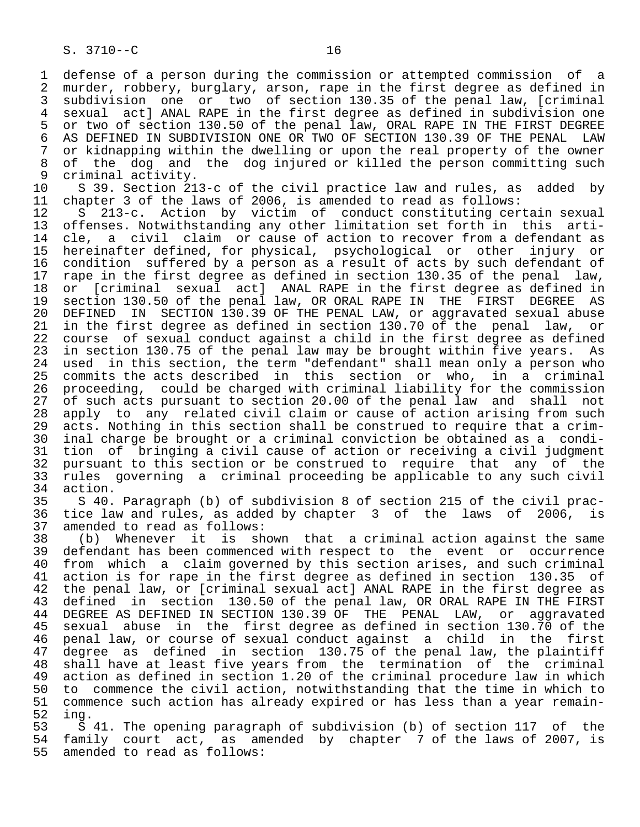1 defense of a person during the commission or attempted commission of a<br>2 murder, robbery, burglary, arson, rape in the first degree as defined in 2 murder, robbery, burglary, arson, rape in the first degree as defined in<br>3 subdivision one or two of section 130.35 of the penal law, [criminal 3 subdivision one or two of section 130.35 of the penal law, [criminal<br>4 sexual actl ANAL RAPE in the first degree as defined in subdivision one 4 sexual act] ANAL RAPE in the first degree as defined in subdivision one<br>5 or two of section 130.50 of the penal law, ORAL RAPE IN THE FIRST DEGREE 5 or two of section 130.50 of the penal law, ORAL RAPE IN THE FIRST DEGREE<br>6 AS DEFINED IN SUBDIVISION ONE OR TWO OF SECTION 130.39 OF THE PENAL LAW 6 AS DEFINED IN SUBDIVISION ONE OR TWO OF SECTION 130.39 OF THE PENAL LAW<br>7 or kidnapping within the dwelling or upon the real property of the owner 7 or kidnapping within the dwelling or upon the real property of the owner<br>8 of the dog and the dog injured or killed the person committing such 8 of the dog and the dog injured or killed the person committing such<br>9 criminal activity. 9 criminal activity.<br>10 S 39. Section 21

10 S 39. Section 213-c of the civil practice law and rules, as added by<br>11 chapter 3 of the laws of 2006, is amended to read as follows:

11 chapter 3 of the laws of 2006, is amended to read as follows:<br>12 S 213-c. Action by victim of conduct constituting cer 12 S 213-c. Action by victim of conduct constituting certain sexual<br>13 offenses. Notwithstanding any other limitation set forth in this arti-13 offenses. Notwithstanding any other limitation set forth in this arti-<br>14 cle, a civil claim or cause of action to recover from a defendant as cle, a civil claim or cause of action to recover from a defendant as 15 hereinafter defined, for physical, psychological or other injury or 16 condition suffered by a person as a result of acts by such defendant of 17 rape in the first degree as defined in section 130.35 of the penal law. 17 rape in the first degree as defined in section 130.35 of the penal law,<br>18 or [criminal sexual act] ANAL RAPE in the first degree as defined in 18 or [criminal sexual act] ANAL RAPE in the first degree as defined in<br>19 section 130.50 of the penal law, OR ORAL RAPE IN THE FIRST DEGREE AS 19 section 130.50 of the penal law, OR ORAL RAPE IN THE 20 DEFINED IN SECTION 130.39 OF THE PENAL LAW, or aggra 20 DEFINED IN SECTION 130.39 OF THE PENAL LAW, or aggravated sexual abuse<br>21 in the first degree as defined in section 130.70 of the penal law, or 21 in the first degree as defined in section 130.70 of the penal law,<br>22 course of sexual conduct against a child in the first degree as defir 22 course of sexual conduct against a child in the first degree as defined<br>23 in section 130.75 of the penal law may be brought within five years. As 23 in section 130.75 of the penal law may be brought within five years. As<br>24 used in this section, the term "defendant" shall mean only a person who 24 used in this section, the term "defendant" shall mean only a person who<br>25 commits the acts described in this section or who, in a criminal commits the acts described in this section or who, in a criminal 26 proceeding, could be charged with criminal liability for the commission<br>27 of such acts pursuant to section 20.00 of the penal law and shall not 27 of such acts pursuant to section 20.00 of the penal law and shall not<br>28 apply to any related civil claim or cause of action arising from such 28 apply to any related civil claim or cause of action arising from such<br>29 acts. Nothing in this section shall be construed to require that a crim-29 acts. Nothing in this section shall be construed to require that a crim-<br>20 inal charge be brought or a criminal conviction be obtained as a condi- 30 inal charge be brought or a criminal conviction be obtained as a condi- 31 tion of bringing a civil cause of action or receiving a civil judgment<br>32 pursuant to this section or be construed to require that any of the 32 pursuant to this section or be construed to require that any of the<br>33 rules governing a criminal proceeding be applicable to any such civil 33 rules governing a criminal proceeding be applicable to any such civil 34 action.<br>35 S 40.

 35 S 40. Paragraph (b) of subdivision 8 of section 215 of the civil prac- 36 tice law and rules, as added by chapter 3 of the laws of 2006, is<br>37 amended to read as follows: 37 amended to read as follows:

 38 (b) Whenever it is shown that a criminal action against the same 39 defendant has been commenced with respect to the event or occurrence<br>40 from which a claim governed by this section arises, and such criminal 40 from which a claim governed by this section arises, and such criminal<br>41 action is for rape in the first degree as defined in section 130.35 of 41 action is for rape in the first degree as defined in section 130.35 of<br>42 the penal law, or [criminal sexual act] ANAL RAPE in the first degree as 42 the penal law, or [criminal sexual act] ANAL RAPE in the first degree as<br>43 defined in section 130.50 of the penal law, OR ORAL RAPE IN THE FIRST 43 defined in section 130.50 of the penal law, OR ORAL RAPE IN THE FIRST<br>44 DEGREE AS DEFINED IN SECTION 130.39 OF THE PENAL LAW, or aggravated 44 DEGREE AS DEFINED IN SECTION 130.39 OF THE PENAL LAW, or aggravated<br>45 sexual abuse in the first degree as defined in section 130.70 of the sexual abuse in the first degree as defined in section 130.70 of the 46 penal law, or course of sexual conduct against a child in the first<br>47 degree as defined in section 130.75 of the penal law, the plaintiff 47 degree as defined in section 130.75 of the penal law, the plaintiff<br>48 shall have at least five years from the termination of the criminal 48 shall have at least five years from the termination of the criminal<br>49 action as defined in section 1.20 of the criminal procedure law in which 49 action as defined in section 1.20 of the criminal procedure law in which<br>50 to commence the civil action, notwithstanding that the time in which to 50 to commence the civil action, notwithstanding that the time in which to<br>51 commence such action has already expired or has less than a year remain-51 commence such action has already expired or has less than a year remain-<br>52 ing. 52 ing.

53 S 41. The opening paragraph of subdivision (b) of section 117 of the<br>54 family court act, as amended by chapter 7 of the laws of 2007, is 54 family court act, as amended by chapter 7 of the laws of 2007, is<br>55 amended to read as follows: amended to read as follows: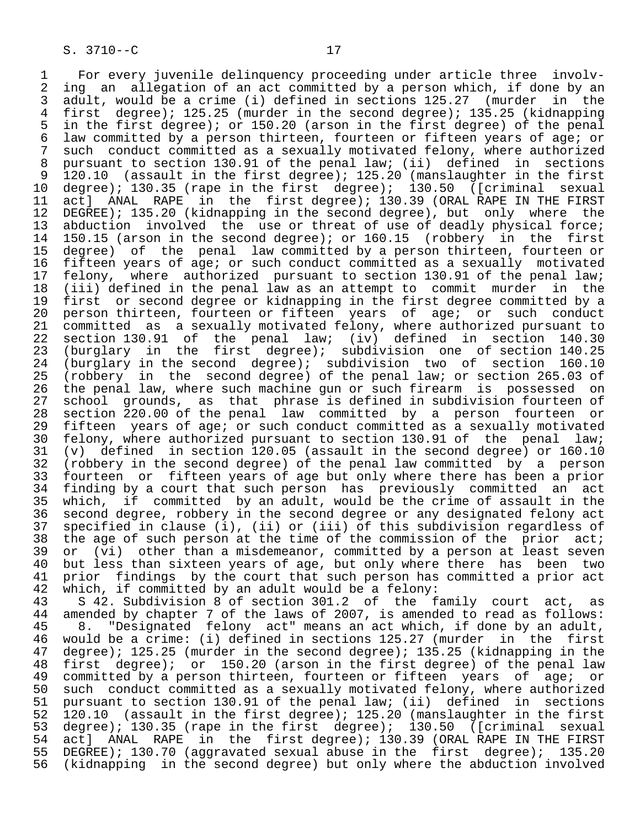S. 3710--C 17 1 For every juvenile delinquency proceeding under article three involv-<br>2 ing an allegation of an act committed by a person which, if done by an 2 ing an allegation of an act committed by a person which, if done by an<br>3 adult, would be a crime (i) defined in sections 125.27 (murder in the 3 adult, would be a crime (i) defined in sections 125.27 (murder in the<br>4 first degree); 125.25 (murder in the second degree); 135.25 (kidnapping 4 first degree); 125.25 (murder in the second degree); 135.25 (kidnapping<br>5 in the first degree); or 150.20 (arson in the first degree) of the penal 5 in the first degree); or 150.20 (arson in the first degree) of the penal<br>6 law committed by a person thirteen, fourteen or fifteen years of age; or 6 law committed by a person thirteen, fourteen or fifteen years of age; or<br>7 such conduct committed as a sexually motivated felony, where authorized 7 such conduct committed as a sexually motivated felony, where authorized<br>8 pursuant to section 130.91 of the penal law; (ii) defined in sections 8 pursuant to section 130.91 of the penal law; (ii) defined in sections<br>9 120.10 (assault in the first degree); 125.20 (manslaughter in the first 9 120.10 (assault in the first degree); 125.20 (manslaughter in the first 10 degree); 130.35 (rape in the first degree); 130.50 ([criminal sexual 11 act] ANAL RAPE in the first degree); 130.39 (ORAL RAPE IN THE FIRST<br>12 DEGREE); 135.20 (kidnapping in the second degree), but only where the 12 DEGREE); 135.20 (kidnapping in the second degree), but only where the<br>13 abduction involved the use or threat of use of deadly physical force; 13 abduction involved the use or threat of use of deadly physical force;<br>14 150.15 (arson in the second degree); or 160.15 (robbery in the first 150.15 (arson in the second degree); or 160.15 (robbery in the first 15 degree) of the penal law committed by a person thirteen, fourteen or<br>16 fifteen years of age; or such conduct committed as a sexually motivated 16 fifteen years of age; or such conduct committed as a sexually motivated<br>17 felony, where authorized pursuant to section 130.91 of the penal law; 17 felony, where authorized pursuant to section 130.91 of the penal law;<br>18 (iii) defined in the penal law as an attempt to commit murder in the 18 (iii) defined in the penal law as an attempt to commit murder in the 19 first or second degree or kidnapping in the first degree committed by a<br>20 person thirteen, fourteen or fifteen years of age; or such conduct 20 person thirteen, fourteen or fifteen years of age; or such conduct<br>21 committed as a sexually motivated felony, where authorized pursuant to 21 committed as a sexually motivated felony, where authorized pursuant to<br>22 section 130.91 of the penal law; (iv) defined in section 140.30 22 section 130.91 of the penal law; (iv) defined in section 140.30<br>23 (burglary in the first degree); subdivision one of section 140.25

23 (burglary in the first degree); subdivision one of section 140.25<br>24 (burglary in the second degree); subdivision two of section 160.10 24 (burglary in the second degree); subdivision two of section 160.10<br>25 (robbery in the second degree) of the penal law; or section 265.03 of 25 (robbery in the second degree) of the penal law; or section 265.03 of 26 the penal law, where such machine gun or such firearm is possessed on<br>27 school grounds, as that phrase is defined in subdivision fourteen of 27 school grounds, as that phrase is defined in subdivision fourteen of 28 section 220.00 of the penal law committed by a person fourteen or 29 fifteen years of age; or such conduct committed as a sexually motivated<br>20 felony, where authorized pursuant to section 130.91 of the penal law; 30 felony, where authorized pursuant to section 130.91 of the penal law;<br>31 (v) defined in section 120.05 (assault in the second degree) or 160.10 31 (v) defined in section 120.05 (assault in the second degree) or 160.10<br>32 (robbery in the second degree) of the penal law committed by a person 32 (robbery in the second degree) of the penal law committed by a person<br>33 fourteen or fifteen years of age but only where there has been a prior 33 fourteen or fifteen years of age but only where there has been a prior<br>34 finding by a court that such person has previously committed an act 34 finding by a court that such person has previously committed an act 35 which, if committed by an adult, would be the crime of assault in the 36 second degree, robbery in the second degree or any designated felony act 37 specified in clause (i), (ii) or (iii) of this subdivision regardless of<br>38 the age of such person at the time of the commission of the prior act; 38 the age of such person at the time of the commission of the prior act;<br>39 or (vi) other than a misdemeanor, committed by a person at least seven 39 or (vi) other than a misdemeanor, committed by a person at least seven<br>40 but less than sixteen years of age, but only where there has been two 40 but less than sixteen years of age, but only where there has been two<br>41 prior findings by the court that such person has committed a prior act 41 prior findings by the court that such person has committed a prior act<br>42 which, if committed by an adult would be a felony: 42 which, if committed by an adult would be a felony:<br>43 S 42. Subdivision 8 of section 301.2 of the f

43 S 42. Subdivision 8 of section 301.2 of the family court act, as<br>44 amended by chapter 7 of the laws of 2007, is amended to read as follows: 44 amended by chapter 7 of the laws of 2007, is amended to read as follows:<br>45 8. "Designated felony act" means an act which, if done by an adult, 45 8. "Designated felony act" means an act which, if done by an adult,<br>46 would be a crime: (i) defined in sections 125.27 (murder in the first 46 would be a crime: (i) defined in sections 125.27 (murder in the first<br>47 degree); 125.25 (murder in the second degree); 135.25 (kidnapping in the 47 degree); 125.25 (murder in the second degree); 135.25 (kidnapping in the<br>48 first degree); or 150.20 (arson in the first degree) of the penal law 48 first degree); or 150.20 (arson in the first degree) of the penal law 49 committed by a person thirteen, fourteen or fifteen years of age; or<br>50 such conduct committed as a sexually motivated felony, where authorized 50 such conduct committed as a sexually motivated felony, where authorized<br>51 pursuant to section 130.91 of the penal law; (ii) defined in sections 51 pursuant to section 130.91 of the penal law; (ii) defined in sections<br>52 120.10 (assault in the first degree); 125.20 (manslaughter in the first 52 120.10 (assault in the first degree); 125.20 (manslaughter in the first<br>53 degree); 130.35 (rape in the first degree); 130.50 ([criminal sexual 53 degree); 130.35 (rape in the first degree); 130.50 ([criminal sexual 54 act] ANAL RAPE in the first degree); 130.39 (ORAL RAPE IN THE FIRST 54 act] ANAL RAPE in the first degree); 130.39 (ORAL RAPE IN THE FIRST<br>55 DEGREE); 130.70 (aggravated sexual abuse in the first degree); 135.20 55 DEGREE); 130.70 (aggravated sexual abuse in the first degree); 135.20<br>56 (kidnapping in the second degree) but only where the abduction involved (kidnapping in the second degree) but only where the abduction involved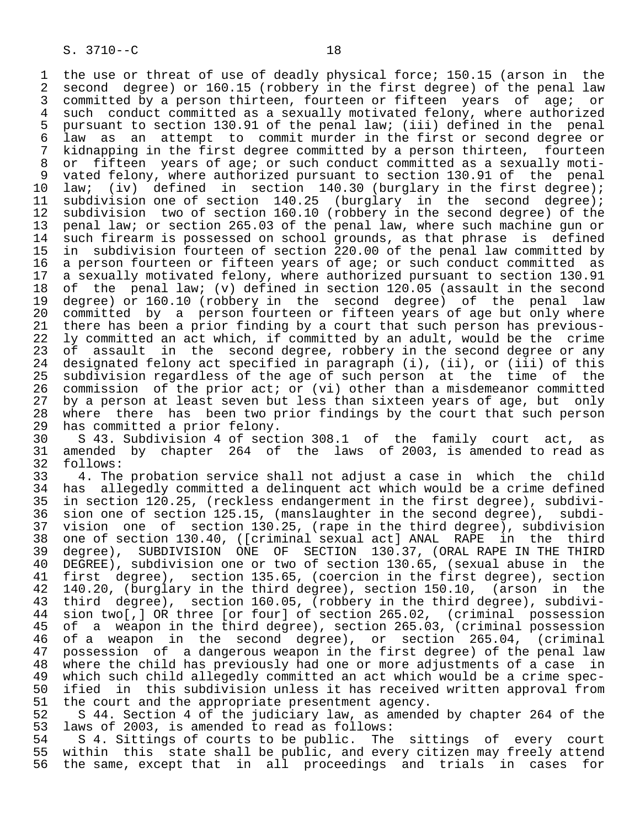1 the use or threat of use of deadly physical force; 150.15 (arson in the<br>2 second degree) or 160.15 (robbery in the first degree) of the penal law 2 second degree) or 160.15 (robbery in the first degree) of the penal law<br>3 committed by a person thirteen, fourteen or fifteen years of age; or 3 committed by a person thirteen, fourteen or fifteen years of age; or<br>4 such conduct committed as a sexually motivated felony, where authorized 4 such conduct committed as a sexually motivated felony, where authorized<br>5 pursuant to section 130.91 of the penal law; (iii) defined in the penal 5 pursuant to section 130.91 of the penal law; (iii) defined in the penal<br>6 law as an attempt to commit murder in the first or second degree or 6 law as an attempt to commit murder in the first or second degree or 7 kidnapping in the first degree committed by a person thirteen, fourteen<br>8 or fifteen vears of age; or such conduct committed as a sexually moti-8 or fifteen years of age; or such conduct committed as a sexually moti-<br>9 vated felony, where authorized pursuant to section 130.91 of the penal 9 vated felony, where authorized pursuant to section 130.91 of the penal<br>10 law; (iv) defined in section 140.30 (burglary in the first degree); 10 law; (iv) defined in section 140.30 (burglary in the first degree);<br>11 subdivision one of section 140.25 (burglary in the second degree); 11 subdivision one of section 140.25 (burglary in the second degree);<br>12 subdivision two of section 160.10 (robbery in the second degree) of the 12 subdivision two of section 160.10 (robbery in the second degree) of the<br>13 penal law; or section 265.03 of the penal law, where such machine gun or 13 penal law; or section 265.03 of the penal law, where such machine gun or<br>14 such firearm is possessed on school grounds, as that phrase is defined such firearm is possessed on school grounds, as that phrase is defined 15 in subdivision fourteen of section 220.00 of the penal law committed by<br>16 a person fourteen or fifteen years of age; or such conduct committed as 16 a person fourteen or fifteen years of age; or such conduct committed as<br>17 a sexually motivated felony, where authorized pursuant to section 130.91 17 a sexually motivated felony, where authorized pursuant to section 130.91<br>18 of the penal law; (v) defined in section 120.05 (assault in the second 18 of the penal law; (v) defined in section 120.05 (assault in the second<br>19 degree) or 160.10 (robbery in the second degree) of the penal law 19 degree) or 160.10 (robbery in the second degree) of the penal law<br>20 committed by a person fourteen or fifteen years of age but only where 20 committed by a person fourteen or fifteen years of age but only where<br>21 there has been a prior finding by a court that such person has previous-21 there has been a prior finding by a court that such person has previous-<br>22 ly committed an act which, if committed by an adult, would be the crime 22 ly committed an act which, if committed by an adult, would be the crime<br>23 of assault in the second degree, robbery in the second degree or any 23 of assault in the second degree, robbery in the second degree or any<br>24 designated felony act specified in paragraph (i), (ii), or (iii) of this 24 designated felony act specified in paragraph (i), (ii), or (iii) of this<br>25 subdivision regardless of the age of such person at the time of the subdivision regardless of the age of such person at the time of the 26 commission of the prior act; or (vi) other than a misdemeanor committed<br>27 by a person at least seven but less than sixteen years of age, but only 27 by a person at least seven but less than sixteen years of age, but only<br>28 where there has been two prior findings by the court that such person 28 where there has been two prior findings by the court that such person<br>29 has committed a prior felony. 29 has committed a prior felony.<br>30 S 43. Subdivision 4 of sect

 30 S 43. Subdivision 4 of section 308.1 of the family court act, as 31 amended by chapter 264 of the laws of 2003, is amended to read as 32 follows:<br>33 4. The

 33 4. The probation service shall not adjust a case in which the child 34 has allegedly committed a delinquent act which would be a crime defined<br>35 in section 120.25, (reckless endangerment in the first degree), subdivi-35 in section 120.25, (reckless endangerment in the first degree), subdivi-<br>36 sion one of section 125.15, (manslaughter in the second degree), subdision one of section  $125.15$ , (manslaughter in the second degree), subdi- 37 vision one of section 130.25, (rape in the third degree), subdivision 38 one of section 130.40, ([criminal sexual act] ANAL RAPE in the third<br>39 degree), SUBDIVISION ONE OF SECTION 130.37, (ORAL RAPE IN THE THIRD 39 degree), SUBDIVISION ONE OF SECTION 130.37, (ORAL RAPE IN THE THIRD<br>40 DEGREE), subdivision one or two of section 130.65, (sexual abuse in the 40 DEGREE), subdivision one or two of section 130.65, (sexual abuse in the<br>41 first degree), section 135.65, (coercion in the first degree), section 41 first degree), section 135.65, (coercion in the first degree), section<br>42 140.20, (burglary in the third degree), section 150.10, (arson in the 42 140.20, (burglary in the third degree), section 150.10, (arson in the<br>43 third degree), section 160.05, (robbery in the third degree), subdivi-43 third degree), section 160.05, (robbery in the third degree), subdivi-<br>44 sion two[,] OR three [or four] of section 265.02, (criminal possession 44 sion two[,] OR three [or four] of section 265.02, (criminal possession<br>45 of a weapon in the third degree), section 265.03, (criminal possession of a weapon in the third degree), section 265.03, (criminal possession 46 of a weapon in the second degree), or section 265.04, (criminal 47 possession of a dangerous weapon in the first degree) of the penal law 48 where the child has previously had one or more adjustments of a case in<br>49 which such child allegedly committed an act which would be a crime spec- 49 which such child allegedly committed an act which would be a crime spec- 50 ified in this subdivision unless it has received written approval from<br>51 the court and the appropriate presentment agency. 51 the court and the appropriate presentment agency.<br>52 S 44. Section 4 of the judiciary law, as amende

52 S 44. Section 4 of the judiciary law, as amended by chapter 264 of the<br>53 laws of 2003, is amended to read as follows: 53 laws of 2003, is amended to read as follows:<br>54 S 4. Sittings of courts to be public. The

54 S 4. Sittings of courts to be public. The sittings of every court<br>55 within this state shall be public, and every citizen may freely attend 55 within this state shall be public, and every citizen may freely attend<br>56 the same, except that in all proceedings and trials in cases for the same, except that in all proceedings and trials in cases for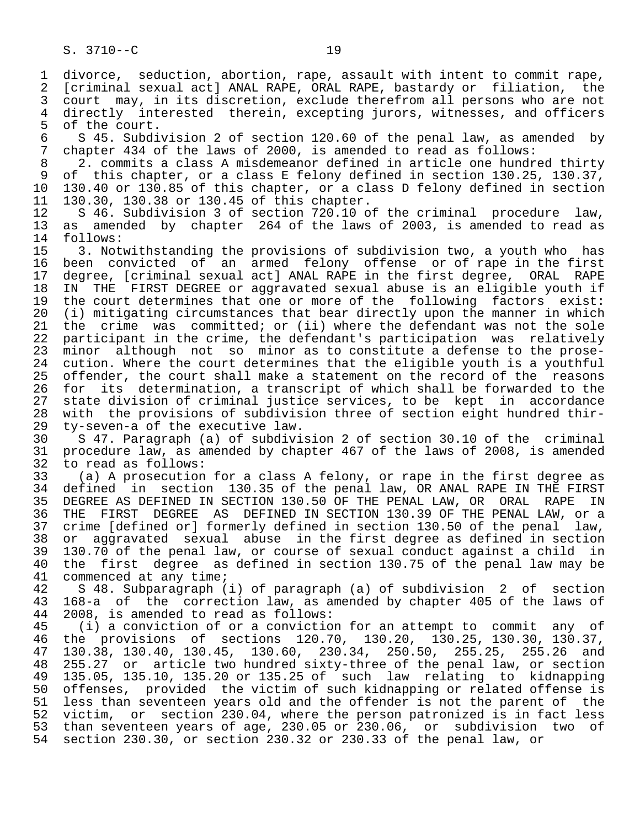1 divorce, seduction, abortion, rape, assault with intent to commit rape,<br>2 [criminal sexual act] ANAL RAPE, ORAL RAPE, bastardy or filiation, the 2 [criminal sexual act] ANAL RAPE, ORAL RAPE, bastardy or filiation, the<br>3 court may, in its discretion, exclude therefrom all persons who are not 3 court may, in its discretion, exclude therefrom all persons who are not<br>4 directly interested therein, excepting jurors, witnesses, and officers 4 directly interested therein, excepting jurors, witnesses, and officers<br>5 of the court. 5 of the court.<br>6 S 45. Subdi 6 S 45. Subdivision 2 of section 120.60 of the penal law, as amended by<br>7 chapter 434 of the laws of 2000, is amended to read as follows: 7 chapter 434 of the laws of 2000, is amended to read as follows:<br>8 2. commits a class A misdemeanor defined in article one hundr 8 2. commits a class A misdemeanor defined in article one hundred thirty<br>8 of this chapter, or a class E felony defined in section 130.25, 130.37, 9 of this chapter, or a class E felony defined in section 130.25, 130.37,<br>10 130.40 or 130.85 of this chapter, or a class D felony defined in section 10 130.40 or 130.85 of this chapter, or a class D felony defined in section<br>11 130.30, 130.38 or 130.45 of this chapter. 11 130.30, 130.38 or 130.45 of this chapter.<br>12 S 46. Subdivision 3 of section 720.10 o 12 S 46. Subdivision 3 of section 720.10 of the criminal procedure law,<br>13 as amended by chapter 264 of the laws of 2003, is amended to read as 13 as amended by chapter 264 of the laws of 2003, is amended to read as 14 follows: follows: 15 3. Notwithstanding the provisions of subdivision two, a youth who has 16 been convicted of an armed felony offense or of rape in the first 17 degree, [criminal sexual act] ANAL RAPE in the first degree, ORAL RAPE 18 IN THE FIRST DEGREE or aggravated sexual abuse is an eligible youth if<br>19 the court determines that one or more of the following factors exist: 19 the court determines that one or more of the following factors exist:<br>20 (i) mitigating circumstances that bear directly upon the manner in which 20 (i) mitigating circumstances that bear directly upon the manner in which<br>21 the crime was committed; or (ii) where the defendant was not the sole 21 the crime was committed; or (ii) where the defendant was not the sole<br>22 participant in the crime, the defendant's participation was relatively 22 participant in the crime, the defendant's participation was relatively<br>23 minor although not so minor as to constitute a defense to the proseminor although not so minor as to constitute a defense to the prose-24 cution. Where the court determines that the eligible youth is a youthful<br>25 offender, the court shall make a statement on the record of the reasons 25 offender, the court shall make a statement on the record of the reasons 26 for its determination, a transcript of which shall be forwarded to the<br>27 state division of criminal justice services, to be kept in accordance 27 state division of criminal justice services, to be kept in accordance<br>28 with the provisions of subdivision three of section eight hundred thir-28 with the provisions of subdivision three of section eight hundred thir-<br>29 ty-seven-a of the executive law.

29 ty-seven-a of the executive law.<br>30 S 47. Paragraph (a) of subdivi 30 S 47. Paragraph (a) of subdivision 2 of section 30.10 of the criminal 31 procedure law, as amended by chapter 467 of the laws of 2008, is amended 32 to read as follows:<br>33 (a) A prosecution

 33 (a) A prosecution for a class A felony, or rape in the first degree as 34 defined in section 130.35 of the penal law, OR ANAL RAPE IN THE FIRST<br>35 DEGREE AS DEFINED IN SECTION 130.50 OF THE PENAL LAW, OR ORAL RAPE IN <sup>35</sup> DEGREE AS DEFINED IN SECTION 130.50 OF THE PENAL LAW, OR ORAL RAPE IN<br>36 THE FIRST DEGREE AS DEFINED IN SECTION 130.39 OF THE PENAL LAW, or a THE FIRST DEGREE AS DEFINED IN SECTION 130.39 OF THE PENAL LAW, or a 37 crime [defined or] formerly defined in section 130.50 of the penal law,<br>38 or aggravated sexual abuse in the first degree as defined in section 38 or aggravated sexual abuse in the first degree as defined in section<br>39 130.70 of the penal law, or course of sexual conduct against a child in 39 130.70 of the penal law, or course of sexual conduct against a child in<br>40 the first degree as defined in section 130.75 of the penal law may be 40 the first degree as defined in section 130.75 of the penal law may be 41 commenced at any time; 41 commenced at any time;<br>42 S 48. Subparagraph (

 42 S 48. Subparagraph (i) of paragraph (a) of subdivision 2 of section 43 168-a of the correction law, as amended by chapter 405 of the laws of 44 2008, is amended to read as follows:<br>45 (i) a conviction of or a convictio

(i) a conviction of or a conviction for an attempt to commit any of 46 the provisions of sections 120.70, 130.20, 130.25, 130.30, 130.37,<br>47 130.38, 130.40, 130.45, 130.60, 230.34, 250.50, 255.25, 255.26 and 47 130.38, 130.40, 130.45, 130.60, 230.34, 250.50, 255.25, 255.26 and 48 255.27 or article two hundred sixty-three of the penal law, or section 49 135.05, 135.10, 135.20 or 135.25 of such law relating to kidnapping<br>50 offenses, provided the victim of such kidnapping or related offense is 50 offenses, provided the victim of such kidnapping or related offense is<br>51 less than seventeen years old and the offender is not the parent of the less than seventeen years old and the offender is not the parent of the 52 victim, or section 230.04, where the person patronized is in fact less 53 than seventeen years of age, 230.05 or 230.06, or subdivision two of 54 section 230.30, or section 230.32 or 230.33 of the penal law, or